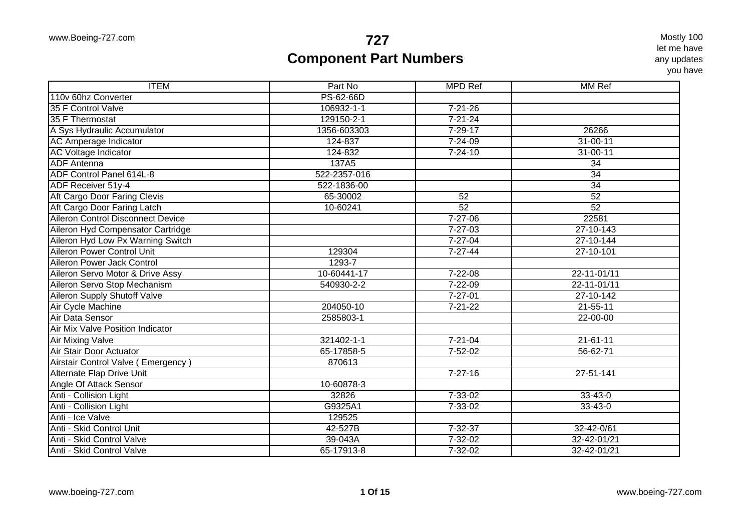| <b>ITEM</b>                              | Part No      | <b>MPD Ref</b> | MM <sub>Ref</sub> |
|------------------------------------------|--------------|----------------|-------------------|
| 110v 60hz Converter                      | PS-62-66D    |                |                   |
| 35 F Control Valve                       | 106932-1-1   | $7 - 21 - 26$  |                   |
| 35 F Thermostat                          | 129150-2-1   | $7 - 21 - 24$  |                   |
| A Sys Hydraulic Accumulator              | 1356-603303  | $7 - 29 - 17$  | 26266             |
| AC Amperage Indicator                    | 124-837      | $7 - 24 - 09$  | $31 - 00 - 11$    |
| <b>AC Voltage Indicator</b>              | 124-832      | $7 - 24 - 10$  | $31 - 00 - 11$    |
| <b>ADF</b> Antenna                       | 137A5        |                | $\overline{34}$   |
| ADF Control Panel 614L-8                 | 522-2357-016 |                | $\overline{34}$   |
| ADF Receiver 51y-4                       | 522-1836-00  |                | 34                |
| Aft Cargo Door Faring Clevis             | 65-30002     | 52             | 52                |
| Aft Cargo Door Faring Latch              | 10-60241     | 52             | 52                |
| <b>Aileron Control Disconnect Device</b> |              | $7 - 27 - 06$  | 22581             |
| Aileron Hyd Compensator Cartridge        |              | $7 - 27 - 03$  | 27-10-143         |
| Aileron Hyd Low Px Warning Switch        |              | $7 - 27 - 04$  | 27-10-144         |
| <b>Aileron Power Control Unit</b>        | 129304       | $7 - 27 - 44$  | 27-10-101         |
| Aileron Power Jack Control               | 1293-7       |                |                   |
| Aileron Servo Motor & Drive Assy         | 10-60441-17  | 7-22-08        | $22 - 11 - 01/11$ |
| Aileron Servo Stop Mechanism             | 540930-2-2   | $7 - 22 - 09$  | 22-11-01/11       |
| <b>Aileron Supply Shutoff Valve</b>      |              | $7 - 27 - 01$  | $27 - 10 - 142$   |
| Air Cycle Machine                        | 204050-10    | $7 - 21 - 22$  | $21 - 55 - 11$    |
| Air Data Sensor                          | 2585803-1    |                | $22 - 00 - 00$    |
| Air Mix Valve Position Indicator         |              |                |                   |
| Air Mixing Valve                         | 321402-1-1   | $7 - 21 - 04$  | $21 - 61 - 11$    |
| Air Stair Door Actuator                  | 65-17858-5   | $7 - 52 - 02$  | $56 - 62 - 71$    |
| Airstair Control Valve (Emergency)       | 870613       |                |                   |
| Alternate Flap Drive Unit                |              | $7 - 27 - 16$  | 27-51-141         |
| Angle Of Attack Sensor                   | 10-60878-3   |                |                   |
| Anti - Collision Light                   | 32826        | $7 - 33 - 02$  | $33 - 43 - 0$     |
| Anti - Collision Light                   | G9325A1      | $7 - 33 - 02$  | 33-43-0           |
| Anti - Ice Valve                         | 129525       |                |                   |
| Anti - Skid Control Unit                 | 42-527B      | $7 - 32 - 37$  | 32-42-0/61        |
| Anti - Skid Control Valve                | 39-043A      | $7 - 32 - 02$  | 32-42-01/21       |
| Anti - Skid Control Valve                | 65-17913-8   | 7-32-02        | 32-42-01/21       |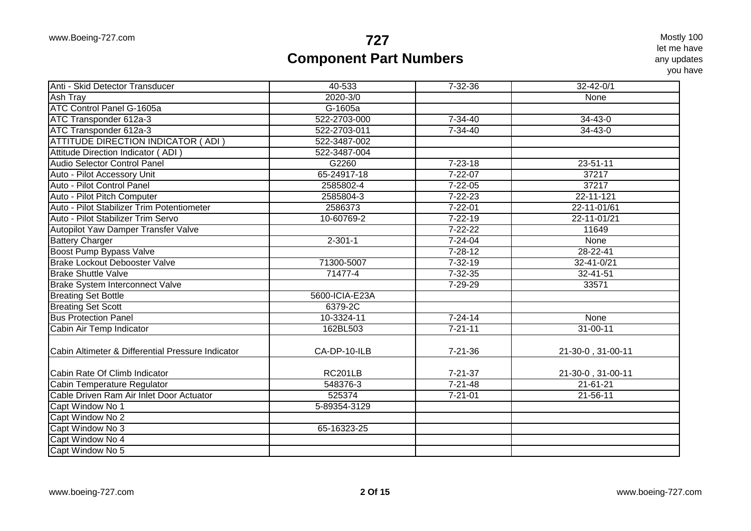| Anti - Skid Detector Transducer                   | 40-533         | 7-32-36       | $32 - 42 - 0/1$   |
|---------------------------------------------------|----------------|---------------|-------------------|
| <b>Ash Tray</b>                                   | 2020-3/0       |               | None              |
| <b>ATC Control Panel G-1605a</b>                  | G-1605a        |               |                   |
| ATC Transponder 612a-3                            | 522-2703-000   | $7 - 34 - 40$ | $34 - 43 - 0$     |
| ATC Transponder 612a-3                            | 522-2703-011   | $7 - 34 - 40$ | $34 - 43 - 0$     |
| <b>ATTITUDE DIRECTION INDICATOR (ADI)</b>         | 522-3487-002   |               |                   |
| Attitude Direction Indicator (ADI)                | 522-3487-004   |               |                   |
| Audio Selector Control Panel                      | G2260          | $7 - 23 - 18$ | 23-51-11          |
| Auto - Pilot Accessory Unit                       | 65-24917-18    | $7 - 22 - 07$ | 37217             |
| Auto - Pilot Control Panel                        | 2585802-4      | $7 - 22 - 05$ | 37217             |
| Auto - Pilot Pitch Computer                       | 2585804-3      | $7 - 22 - 23$ | $22 - 11 - 121$   |
| Auto - Pilot Stabilizer Trim Potentiometer        | 2586373        | $7 - 22 - 01$ | 22-11-01/61       |
| Auto - Pilot Stabilizer Trim Servo                | 10-60769-2     | $7 - 22 - 19$ | 22-11-01/21       |
| Autopilot Yaw Damper Transfer Valve               |                | $7 - 22 - 22$ | 11649             |
| <b>Battery Charger</b>                            | $2 - 301 - 1$  | $7 - 24 - 04$ | None              |
| Boost Pump Bypass Valve                           |                | $7 - 28 - 12$ | $28 - 22 - 41$    |
| <b>Brake Lockout Debooster Valve</b>              | 71300-5007     | $7 - 32 - 19$ | 32-41-0/21        |
| <b>Brake Shuttle Valve</b>                        | 71477-4        | $7 - 32 - 35$ | 32-41-51          |
| <b>Brake System Interconnect Valve</b>            |                | $7 - 29 - 29$ | 33571             |
| <b>Breating Set Bottle</b>                        | 5600-ICIA-E23A |               |                   |
| <b>Breating Set Scott</b>                         | 6379-2C        |               |                   |
| <b>Bus Protection Panel</b>                       | 10-3324-11     | $7 - 24 - 14$ | None              |
| Cabin Air Temp Indicator                          | 162BL503       | $7 - 21 - 11$ | $31 - 00 - 11$    |
|                                                   |                |               |                   |
| Cabin Altimeter & Differential Pressure Indicator | CA-DP-10-ILB   | $7 - 21 - 36$ | 21-30-0, 31-00-11 |
| Cabin Rate Of Climb Indicator                     | <b>RC201LB</b> | $7 - 21 - 37$ | 21-30-0, 31-00-11 |
| Cabin Temperature Regulator                       | 548376-3       | $7 - 21 - 48$ | $21 - 61 - 21$    |
| Cable Driven Ram Air Inlet Door Actuator          | 525374         | $7 - 21 - 01$ | 21-56-11          |
| Capt Window No 1                                  | 5-89354-3129   |               |                   |
| Capt Window No 2                                  |                |               |                   |
| Capt Window No 3                                  | 65-16323-25    |               |                   |
| Capt Window No 4                                  |                |               |                   |
| Capt Window No 5                                  |                |               |                   |
|                                                   |                |               |                   |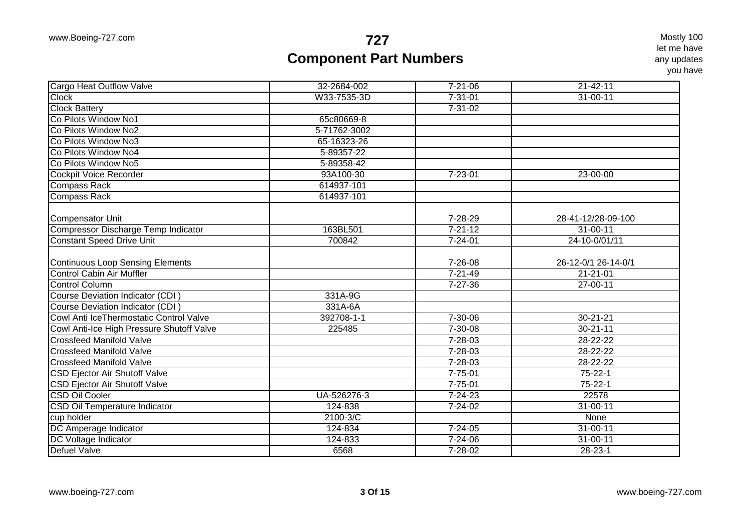| W33-7535-3D<br>$7 - 31 - 01$<br><b>Clock</b><br>31-00-11<br><b>Clock Battery</b><br>$7 - 31 - 02$<br>Co Pilots Window No1<br>65c80669-8<br>Co Pilots Window No2<br>5-71762-3002<br>Co Pilots Window No3<br>65-16323-26<br>Co Pilots Window No4<br>5-89357-22<br>Co Pilots Window No5<br>5-89358-42<br><b>Cockpit Voice Recorder</b><br>93A100-30<br>$7 - 23 - 01$<br>23-00-00<br>614937-101<br><b>Compass Rack</b><br><b>Compass Rack</b><br>614937-101<br>7-28-29<br><b>Compensator Unit</b><br>28-41-12/28-09-100<br>Compressor Discharge Temp Indicator<br>163BL501<br>$7 - 21 - 12$<br>31-00-11<br><b>Constant Speed Drive Unit</b><br>700842<br>24-10-0/01/11<br>$7 - 24 - 01$<br><b>Continuous Loop Sensing Elements</b><br>7-26-08<br>26-12-0/1 26-14-0/1<br><b>Control Cabin Air Muffler</b><br>$7 - 21 - 49$<br>$21 - 21 - 01$<br><b>Control Column</b><br>$7 - 27 - 36$<br>$27 - 00 - 11$<br>Course Deviation Indicator (CDI)<br>331A-9G<br>Course Deviation Indicator (CDI)<br>331A-6A<br>Cowl Anti IceThermostatic Control Valve<br>$7 - 30 - 06$<br>392708-1-1<br>$30 - 21 - 21$<br>$30 - 21 - 11$<br>Cowl Anti-Ice High Pressure Shutoff Valve<br>225485<br>7-30-08<br><b>Crossfeed Manifold Valve</b><br>7-28-03<br>28-22-22<br><b>Crossfeed Manifold Valve</b><br>28-22-22<br>7-28-03<br>$7 - 28 - 03$<br>28-22-22<br><b>Crossfeed Manifold Valve</b><br><b>CSD Ejector Air Shutoff Valve</b><br>$7 - 75 - 01$<br>$75 - 22 - 1$<br><b>CSD Ejector Air Shutoff Valve</b><br>$7 - 75 - 01$<br>$75 - 22 - 1$<br>UA-526276-3<br>$7 - 24 - 23$<br>22578<br><b>CSD Oil Temperature Indicator</b><br>$31 - 00 - 11$<br>124-838<br>7-24-02<br>2100-3/C<br>cup holder<br>None<br>DC Amperage Indicator<br>124-834<br>$7 - 24 - 05$<br>$31 - 00 - 11$<br>$31 - 00 - 11$<br>DC Voltage Indicator<br>124-833<br>7-24-06<br><b>Defuel Valve</b><br>6568<br>7-28-02<br>$28 - 23 - 1$ | <b>Cargo Heat Outflow Valve</b> | 32-2684-002 | $7 - 21 - 06$ | $21 - 42 - 11$ |
|----------------------------------------------------------------------------------------------------------------------------------------------------------------------------------------------------------------------------------------------------------------------------------------------------------------------------------------------------------------------------------------------------------------------------------------------------------------------------------------------------------------------------------------------------------------------------------------------------------------------------------------------------------------------------------------------------------------------------------------------------------------------------------------------------------------------------------------------------------------------------------------------------------------------------------------------------------------------------------------------------------------------------------------------------------------------------------------------------------------------------------------------------------------------------------------------------------------------------------------------------------------------------------------------------------------------------------------------------------------------------------------------------------------------------------------------------------------------------------------------------------------------------------------------------------------------------------------------------------------------------------------------------------------------------------------------------------------------------------------------------------------------------------------------------------------------------------------------------------------------------------------|---------------------------------|-------------|---------------|----------------|
|                                                                                                                                                                                                                                                                                                                                                                                                                                                                                                                                                                                                                                                                                                                                                                                                                                                                                                                                                                                                                                                                                                                                                                                                                                                                                                                                                                                                                                                                                                                                                                                                                                                                                                                                                                                                                                                                                        |                                 |             |               |                |
|                                                                                                                                                                                                                                                                                                                                                                                                                                                                                                                                                                                                                                                                                                                                                                                                                                                                                                                                                                                                                                                                                                                                                                                                                                                                                                                                                                                                                                                                                                                                                                                                                                                                                                                                                                                                                                                                                        |                                 |             |               |                |
|                                                                                                                                                                                                                                                                                                                                                                                                                                                                                                                                                                                                                                                                                                                                                                                                                                                                                                                                                                                                                                                                                                                                                                                                                                                                                                                                                                                                                                                                                                                                                                                                                                                                                                                                                                                                                                                                                        |                                 |             |               |                |
|                                                                                                                                                                                                                                                                                                                                                                                                                                                                                                                                                                                                                                                                                                                                                                                                                                                                                                                                                                                                                                                                                                                                                                                                                                                                                                                                                                                                                                                                                                                                                                                                                                                                                                                                                                                                                                                                                        |                                 |             |               |                |
|                                                                                                                                                                                                                                                                                                                                                                                                                                                                                                                                                                                                                                                                                                                                                                                                                                                                                                                                                                                                                                                                                                                                                                                                                                                                                                                                                                                                                                                                                                                                                                                                                                                                                                                                                                                                                                                                                        |                                 |             |               |                |
|                                                                                                                                                                                                                                                                                                                                                                                                                                                                                                                                                                                                                                                                                                                                                                                                                                                                                                                                                                                                                                                                                                                                                                                                                                                                                                                                                                                                                                                                                                                                                                                                                                                                                                                                                                                                                                                                                        |                                 |             |               |                |
|                                                                                                                                                                                                                                                                                                                                                                                                                                                                                                                                                                                                                                                                                                                                                                                                                                                                                                                                                                                                                                                                                                                                                                                                                                                                                                                                                                                                                                                                                                                                                                                                                                                                                                                                                                                                                                                                                        |                                 |             |               |                |
|                                                                                                                                                                                                                                                                                                                                                                                                                                                                                                                                                                                                                                                                                                                                                                                                                                                                                                                                                                                                                                                                                                                                                                                                                                                                                                                                                                                                                                                                                                                                                                                                                                                                                                                                                                                                                                                                                        |                                 |             |               |                |
|                                                                                                                                                                                                                                                                                                                                                                                                                                                                                                                                                                                                                                                                                                                                                                                                                                                                                                                                                                                                                                                                                                                                                                                                                                                                                                                                                                                                                                                                                                                                                                                                                                                                                                                                                                                                                                                                                        |                                 |             |               |                |
|                                                                                                                                                                                                                                                                                                                                                                                                                                                                                                                                                                                                                                                                                                                                                                                                                                                                                                                                                                                                                                                                                                                                                                                                                                                                                                                                                                                                                                                                                                                                                                                                                                                                                                                                                                                                                                                                                        |                                 |             |               |                |
|                                                                                                                                                                                                                                                                                                                                                                                                                                                                                                                                                                                                                                                                                                                                                                                                                                                                                                                                                                                                                                                                                                                                                                                                                                                                                                                                                                                                                                                                                                                                                                                                                                                                                                                                                                                                                                                                                        |                                 |             |               |                |
|                                                                                                                                                                                                                                                                                                                                                                                                                                                                                                                                                                                                                                                                                                                                                                                                                                                                                                                                                                                                                                                                                                                                                                                                                                                                                                                                                                                                                                                                                                                                                                                                                                                                                                                                                                                                                                                                                        |                                 |             |               |                |
|                                                                                                                                                                                                                                                                                                                                                                                                                                                                                                                                                                                                                                                                                                                                                                                                                                                                                                                                                                                                                                                                                                                                                                                                                                                                                                                                                                                                                                                                                                                                                                                                                                                                                                                                                                                                                                                                                        |                                 |             |               |                |
|                                                                                                                                                                                                                                                                                                                                                                                                                                                                                                                                                                                                                                                                                                                                                                                                                                                                                                                                                                                                                                                                                                                                                                                                                                                                                                                                                                                                                                                                                                                                                                                                                                                                                                                                                                                                                                                                                        |                                 |             |               |                |
|                                                                                                                                                                                                                                                                                                                                                                                                                                                                                                                                                                                                                                                                                                                                                                                                                                                                                                                                                                                                                                                                                                                                                                                                                                                                                                                                                                                                                                                                                                                                                                                                                                                                                                                                                                                                                                                                                        |                                 |             |               |                |
|                                                                                                                                                                                                                                                                                                                                                                                                                                                                                                                                                                                                                                                                                                                                                                                                                                                                                                                                                                                                                                                                                                                                                                                                                                                                                                                                                                                                                                                                                                                                                                                                                                                                                                                                                                                                                                                                                        |                                 |             |               |                |
|                                                                                                                                                                                                                                                                                                                                                                                                                                                                                                                                                                                                                                                                                                                                                                                                                                                                                                                                                                                                                                                                                                                                                                                                                                                                                                                                                                                                                                                                                                                                                                                                                                                                                                                                                                                                                                                                                        |                                 |             |               |                |
|                                                                                                                                                                                                                                                                                                                                                                                                                                                                                                                                                                                                                                                                                                                                                                                                                                                                                                                                                                                                                                                                                                                                                                                                                                                                                                                                                                                                                                                                                                                                                                                                                                                                                                                                                                                                                                                                                        |                                 |             |               |                |
|                                                                                                                                                                                                                                                                                                                                                                                                                                                                                                                                                                                                                                                                                                                                                                                                                                                                                                                                                                                                                                                                                                                                                                                                                                                                                                                                                                                                                                                                                                                                                                                                                                                                                                                                                                                                                                                                                        |                                 |             |               |                |
|                                                                                                                                                                                                                                                                                                                                                                                                                                                                                                                                                                                                                                                                                                                                                                                                                                                                                                                                                                                                                                                                                                                                                                                                                                                                                                                                                                                                                                                                                                                                                                                                                                                                                                                                                                                                                                                                                        |                                 |             |               |                |
|                                                                                                                                                                                                                                                                                                                                                                                                                                                                                                                                                                                                                                                                                                                                                                                                                                                                                                                                                                                                                                                                                                                                                                                                                                                                                                                                                                                                                                                                                                                                                                                                                                                                                                                                                                                                                                                                                        |                                 |             |               |                |
|                                                                                                                                                                                                                                                                                                                                                                                                                                                                                                                                                                                                                                                                                                                                                                                                                                                                                                                                                                                                                                                                                                                                                                                                                                                                                                                                                                                                                                                                                                                                                                                                                                                                                                                                                                                                                                                                                        |                                 |             |               |                |
|                                                                                                                                                                                                                                                                                                                                                                                                                                                                                                                                                                                                                                                                                                                                                                                                                                                                                                                                                                                                                                                                                                                                                                                                                                                                                                                                                                                                                                                                                                                                                                                                                                                                                                                                                                                                                                                                                        |                                 |             |               |                |
|                                                                                                                                                                                                                                                                                                                                                                                                                                                                                                                                                                                                                                                                                                                                                                                                                                                                                                                                                                                                                                                                                                                                                                                                                                                                                                                                                                                                                                                                                                                                                                                                                                                                                                                                                                                                                                                                                        |                                 |             |               |                |
|                                                                                                                                                                                                                                                                                                                                                                                                                                                                                                                                                                                                                                                                                                                                                                                                                                                                                                                                                                                                                                                                                                                                                                                                                                                                                                                                                                                                                                                                                                                                                                                                                                                                                                                                                                                                                                                                                        |                                 |             |               |                |
|                                                                                                                                                                                                                                                                                                                                                                                                                                                                                                                                                                                                                                                                                                                                                                                                                                                                                                                                                                                                                                                                                                                                                                                                                                                                                                                                                                                                                                                                                                                                                                                                                                                                                                                                                                                                                                                                                        | <b>CSD Oil Cooler</b>           |             |               |                |
|                                                                                                                                                                                                                                                                                                                                                                                                                                                                                                                                                                                                                                                                                                                                                                                                                                                                                                                                                                                                                                                                                                                                                                                                                                                                                                                                                                                                                                                                                                                                                                                                                                                                                                                                                                                                                                                                                        |                                 |             |               |                |
|                                                                                                                                                                                                                                                                                                                                                                                                                                                                                                                                                                                                                                                                                                                                                                                                                                                                                                                                                                                                                                                                                                                                                                                                                                                                                                                                                                                                                                                                                                                                                                                                                                                                                                                                                                                                                                                                                        |                                 |             |               |                |
|                                                                                                                                                                                                                                                                                                                                                                                                                                                                                                                                                                                                                                                                                                                                                                                                                                                                                                                                                                                                                                                                                                                                                                                                                                                                                                                                                                                                                                                                                                                                                                                                                                                                                                                                                                                                                                                                                        |                                 |             |               |                |
|                                                                                                                                                                                                                                                                                                                                                                                                                                                                                                                                                                                                                                                                                                                                                                                                                                                                                                                                                                                                                                                                                                                                                                                                                                                                                                                                                                                                                                                                                                                                                                                                                                                                                                                                                                                                                                                                                        |                                 |             |               |                |
|                                                                                                                                                                                                                                                                                                                                                                                                                                                                                                                                                                                                                                                                                                                                                                                                                                                                                                                                                                                                                                                                                                                                                                                                                                                                                                                                                                                                                                                                                                                                                                                                                                                                                                                                                                                                                                                                                        |                                 |             |               |                |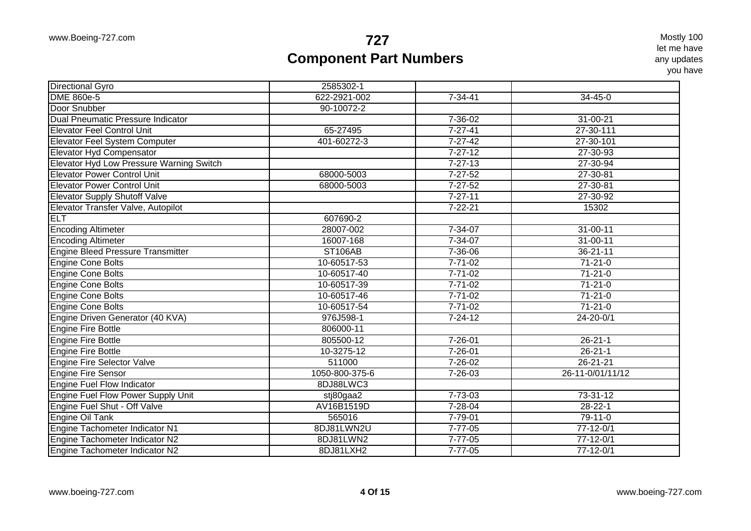| Directional Gyro                         | 2585302-1      |               |                  |
|------------------------------------------|----------------|---------------|------------------|
| <b>DME 860e-5</b>                        | 622-2921-002   | $7 - 34 - 41$ | $34 - 45 - 0$    |
| Door Snubber                             | 90-10072-2     |               |                  |
| <b>Dual Pneumatic Pressure Indicator</b> |                | 7-36-02       | 31-00-21         |
| <b>Elevator Feel Control Unit</b>        | 65-27495       | $7 - 27 - 41$ | 27-30-111        |
| Elevator Feel System Computer            | 401-60272-3    | $7 - 27 - 42$ | 27-30-101        |
| Elevator Hyd Compensator                 |                | $7 - 27 - 12$ | 27-30-93         |
| Elevator Hyd Low Pressure Warning Switch |                | $7 - 27 - 13$ | 27-30-94         |
| <b>Elevator Power Control Unit</b>       | 68000-5003     | $7 - 27 - 52$ | 27-30-81         |
| <b>Elevator Power Control Unit</b>       | 68000-5003     | $7 - 27 - 52$ | 27-30-81         |
| <b>Elevator Supply Shutoff Valve</b>     |                | $7 - 27 - 11$ | 27-30-92         |
| Elevator Transfer Valve, Autopilot       |                | $7 - 22 - 21$ | 15302            |
| <b>ELT</b>                               | 607690-2       |               |                  |
| <b>Encoding Altimeter</b>                | 28007-002      | $7 - 34 - 07$ | $31 - 00 - 11$   |
| <b>Encoding Altimeter</b>                | 16007-168      | $7 - 34 - 07$ | $31 - 00 - 11$   |
| <b>Engine Bleed Pressure Transmitter</b> | <b>ST106AB</b> | $7 - 36 - 06$ | $36 - 21 - 11$   |
| <b>Engine Cone Bolts</b>                 | 10-60517-53    | $7 - 71 - 02$ | $71 - 21 - 0$    |
| <b>Engine Cone Bolts</b>                 | 10-60517-40    | $7 - 71 - 02$ | $71-21-0$        |
| <b>Engine Cone Bolts</b>                 | 10-60517-39    | $7 - 71 - 02$ | $71-21-0$        |
| <b>Engine Cone Bolts</b>                 | 10-60517-46    | $7 - 71 - 02$ | $71 - 21 - 0$    |
| <b>Engine Cone Bolts</b>                 | 10-60517-54    | $7 - 71 - 02$ | $71 - 21 - 0$    |
| Engine Driven Generator (40 KVA)         | 976J598-1      | $7 - 24 - 12$ | $24 - 20 - 0/1$  |
| <b>Engine Fire Bottle</b>                | 806000-11      |               |                  |
| Engine Fire Bottle                       | 805500-12      | $7 - 26 - 01$ | $26 - 21 - 1$    |
| <b>Engine Fire Bottle</b>                | 10-3275-12     | $7 - 26 - 01$ | $26 - 21 - 1$    |
| <b>Engine Fire Selector Valve</b>        | 511000         | 7-26-02       | $26 - 21 - 21$   |
| <b>Engine Fire Sensor</b>                | 1050-800-375-6 | 7-26-03       | 26-11-0/01/11/12 |
| <b>Engine Fuel Flow Indicator</b>        | 8DJ88LWC3      |               |                  |
| Engine Fuel Flow Power Supply Unit       | stj80gaa2      | 7-73-03       | 73-31-12         |
| Engine Fuel Shut - Off Valve             | AV16B1519D     | $7 - 28 - 04$ | $28 - 22 - 1$    |
| Engine Oil Tank                          | 565016         | $7 - 79 - 01$ | $79-11-0$        |
| Engine Tachometer Indicator N1           | 8DJ81LWN2U     | $7 - 77 - 05$ | $77 - 12 - 0/1$  |
| Engine Tachometer Indicator N2           | 8DJ81LWN2      | $7 - 77 - 05$ | $77 - 12 - 0/1$  |
| Engine Tachometer Indicator N2           | 8DJ81LXH2      | $7 - 77 - 05$ | $77 - 12 - 0/1$  |
|                                          |                |               |                  |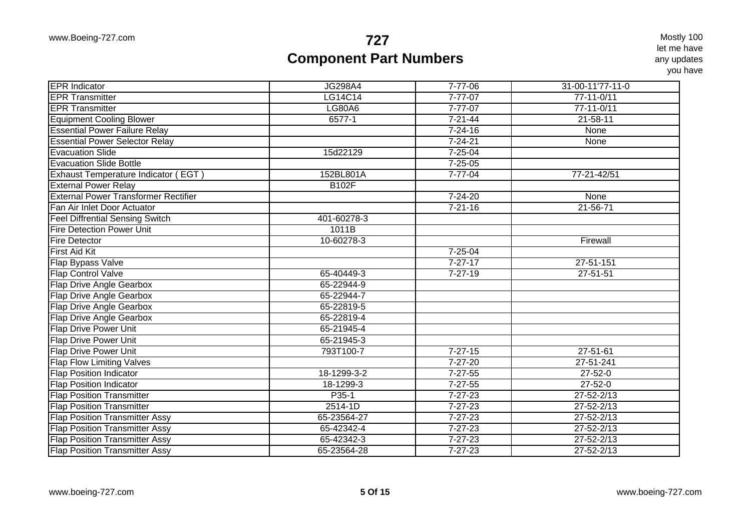| <b>JG298A4</b><br>$7 - 77 - 06$<br>31-00-11'77-11-0<br>LG14C14<br>$7 - 77 - 07$<br>77-11-0/11<br><b>LG80A6</b><br>$7 - 77 - 07$<br>$77 - 11 - 0/11$<br><b>Equipment Cooling Blower</b><br>$6577 - 1$<br>$7 - 21 - 44$<br>$21 - 58 - 11$<br><b>Essential Power Failure Relay</b><br>$7 - 24 - 16$<br>None<br><b>Essential Power Selector Relay</b><br>$7 - 24 - 21$<br>None<br>$7 - 25 - 04$<br><b>Evacuation Slide</b><br>15d22129<br><b>Evacuation Slide Bottle</b><br>$7 - 25 - 05$<br><b>Exhaust Temperature Indicator (EGT)</b><br>152BL801A<br>$7 - 77 - 04$<br>77-21-42/51<br><b>External Power Relay</b><br><b>B102F</b><br><b>External Power Transformer Rectifier</b><br>$7 - 24 - 20$<br>None<br>Fan Air Inlet Door Actuator<br>$7 - 21 - 16$<br>$21 - 56 - 71$<br><b>Feel Diffrential Sensing Switch</b><br>401-60278-3<br><b>Fire Detection Power Unit</b><br>1011B<br><b>Fire Detector</b><br>10-60278-3<br>Firewall<br><b>First Aid Kit</b><br>$7 - 25 - 04$<br>Flap Bypass Valve<br>$7 - 27 - 17$<br>$27 - 51 - 151$<br><b>Flap Control Valve</b><br>65-40449-3<br>$7 - 27 - 19$<br>$27 - 51 - 51$<br>Flap Drive Angle Gearbox<br>65-22944-9<br>65-22944-7<br><b>Flap Drive Angle Gearbox</b><br><b>Flap Drive Angle Gearbox</b><br>65-22819-5<br>65-22819-4<br><b>Flap Drive Angle Gearbox</b><br>Flap Drive Power Unit<br>65-21945-4<br>Flap Drive Power Unit<br>65-21945-3<br><b>Flap Drive Power Unit</b><br>793T100-7<br>$7 - 27 - 15$<br>27-51-61<br>$7 - 27 - 20$<br><b>Flap Flow Limiting Valves</b><br>27-51-241<br>$27 - 52 - 0$<br><b>Flap Position Indicator</b><br>18-1299-3-2<br>$7 - 27 - 55$<br>$7 - 27 - 55$<br>$27 - 52 - 0$<br><b>Flap Position Indicator</b><br>18-1299-3<br>$27 - 52 - 2/13$<br><b>Flap Position Transmitter</b><br>P35-1<br>$7 - 27 - 23$<br><b>Flap Position Transmitter</b><br>$2514-1D$<br>$7 - 27 - 23$<br>$27 - 52 - 2/13$<br><b>Flap Position Transmitter Assy</b><br>65-23564-27<br>$7 - 27 - 23$<br>$27 - 52 - 2/13$<br><b>Flap Position Transmitter Assy</b><br>65-42342-4<br>$7 - 27 - 23$<br>$27 - 52 - 2/13$<br><b>Flap Position Transmitter Assy</b><br>65-42342-3<br>$7 - 27 - 23$<br>$27 - 52 - 2/13$<br><b>Flap Position Transmitter Assy</b><br>65-23564-28<br>$7 - 27 - 23$<br>$27 - 52 - 2/13$ |                        |  |  |
|------------------------------------------------------------------------------------------------------------------------------------------------------------------------------------------------------------------------------------------------------------------------------------------------------------------------------------------------------------------------------------------------------------------------------------------------------------------------------------------------------------------------------------------------------------------------------------------------------------------------------------------------------------------------------------------------------------------------------------------------------------------------------------------------------------------------------------------------------------------------------------------------------------------------------------------------------------------------------------------------------------------------------------------------------------------------------------------------------------------------------------------------------------------------------------------------------------------------------------------------------------------------------------------------------------------------------------------------------------------------------------------------------------------------------------------------------------------------------------------------------------------------------------------------------------------------------------------------------------------------------------------------------------------------------------------------------------------------------------------------------------------------------------------------------------------------------------------------------------------------------------------------------------------------------------------------------------------------------------------------------------------------------------------------------------------------------------------------------------------------------------------------------------------------------------------------------------------------------------------------------------------------|------------------------|--|--|
|                                                                                                                                                                                                                                                                                                                                                                                                                                                                                                                                                                                                                                                                                                                                                                                                                                                                                                                                                                                                                                                                                                                                                                                                                                                                                                                                                                                                                                                                                                                                                                                                                                                                                                                                                                                                                                                                                                                                                                                                                                                                                                                                                                                                                                                                        | <b>EPR</b> Indicator   |  |  |
|                                                                                                                                                                                                                                                                                                                                                                                                                                                                                                                                                                                                                                                                                                                                                                                                                                                                                                                                                                                                                                                                                                                                                                                                                                                                                                                                                                                                                                                                                                                                                                                                                                                                                                                                                                                                                                                                                                                                                                                                                                                                                                                                                                                                                                                                        | <b>EPR Transmitter</b> |  |  |
|                                                                                                                                                                                                                                                                                                                                                                                                                                                                                                                                                                                                                                                                                                                                                                                                                                                                                                                                                                                                                                                                                                                                                                                                                                                                                                                                                                                                                                                                                                                                                                                                                                                                                                                                                                                                                                                                                                                                                                                                                                                                                                                                                                                                                                                                        | <b>EPR Transmitter</b> |  |  |
|                                                                                                                                                                                                                                                                                                                                                                                                                                                                                                                                                                                                                                                                                                                                                                                                                                                                                                                                                                                                                                                                                                                                                                                                                                                                                                                                                                                                                                                                                                                                                                                                                                                                                                                                                                                                                                                                                                                                                                                                                                                                                                                                                                                                                                                                        |                        |  |  |
|                                                                                                                                                                                                                                                                                                                                                                                                                                                                                                                                                                                                                                                                                                                                                                                                                                                                                                                                                                                                                                                                                                                                                                                                                                                                                                                                                                                                                                                                                                                                                                                                                                                                                                                                                                                                                                                                                                                                                                                                                                                                                                                                                                                                                                                                        |                        |  |  |
|                                                                                                                                                                                                                                                                                                                                                                                                                                                                                                                                                                                                                                                                                                                                                                                                                                                                                                                                                                                                                                                                                                                                                                                                                                                                                                                                                                                                                                                                                                                                                                                                                                                                                                                                                                                                                                                                                                                                                                                                                                                                                                                                                                                                                                                                        |                        |  |  |
|                                                                                                                                                                                                                                                                                                                                                                                                                                                                                                                                                                                                                                                                                                                                                                                                                                                                                                                                                                                                                                                                                                                                                                                                                                                                                                                                                                                                                                                                                                                                                                                                                                                                                                                                                                                                                                                                                                                                                                                                                                                                                                                                                                                                                                                                        |                        |  |  |
|                                                                                                                                                                                                                                                                                                                                                                                                                                                                                                                                                                                                                                                                                                                                                                                                                                                                                                                                                                                                                                                                                                                                                                                                                                                                                                                                                                                                                                                                                                                                                                                                                                                                                                                                                                                                                                                                                                                                                                                                                                                                                                                                                                                                                                                                        |                        |  |  |
|                                                                                                                                                                                                                                                                                                                                                                                                                                                                                                                                                                                                                                                                                                                                                                                                                                                                                                                                                                                                                                                                                                                                                                                                                                                                                                                                                                                                                                                                                                                                                                                                                                                                                                                                                                                                                                                                                                                                                                                                                                                                                                                                                                                                                                                                        |                        |  |  |
|                                                                                                                                                                                                                                                                                                                                                                                                                                                                                                                                                                                                                                                                                                                                                                                                                                                                                                                                                                                                                                                                                                                                                                                                                                                                                                                                                                                                                                                                                                                                                                                                                                                                                                                                                                                                                                                                                                                                                                                                                                                                                                                                                                                                                                                                        |                        |  |  |
|                                                                                                                                                                                                                                                                                                                                                                                                                                                                                                                                                                                                                                                                                                                                                                                                                                                                                                                                                                                                                                                                                                                                                                                                                                                                                                                                                                                                                                                                                                                                                                                                                                                                                                                                                                                                                                                                                                                                                                                                                                                                                                                                                                                                                                                                        |                        |  |  |
|                                                                                                                                                                                                                                                                                                                                                                                                                                                                                                                                                                                                                                                                                                                                                                                                                                                                                                                                                                                                                                                                                                                                                                                                                                                                                                                                                                                                                                                                                                                                                                                                                                                                                                                                                                                                                                                                                                                                                                                                                                                                                                                                                                                                                                                                        |                        |  |  |
|                                                                                                                                                                                                                                                                                                                                                                                                                                                                                                                                                                                                                                                                                                                                                                                                                                                                                                                                                                                                                                                                                                                                                                                                                                                                                                                                                                                                                                                                                                                                                                                                                                                                                                                                                                                                                                                                                                                                                                                                                                                                                                                                                                                                                                                                        |                        |  |  |
|                                                                                                                                                                                                                                                                                                                                                                                                                                                                                                                                                                                                                                                                                                                                                                                                                                                                                                                                                                                                                                                                                                                                                                                                                                                                                                                                                                                                                                                                                                                                                                                                                                                                                                                                                                                                                                                                                                                                                                                                                                                                                                                                                                                                                                                                        |                        |  |  |
|                                                                                                                                                                                                                                                                                                                                                                                                                                                                                                                                                                                                                                                                                                                                                                                                                                                                                                                                                                                                                                                                                                                                                                                                                                                                                                                                                                                                                                                                                                                                                                                                                                                                                                                                                                                                                                                                                                                                                                                                                                                                                                                                                                                                                                                                        |                        |  |  |
|                                                                                                                                                                                                                                                                                                                                                                                                                                                                                                                                                                                                                                                                                                                                                                                                                                                                                                                                                                                                                                                                                                                                                                                                                                                                                                                                                                                                                                                                                                                                                                                                                                                                                                                                                                                                                                                                                                                                                                                                                                                                                                                                                                                                                                                                        |                        |  |  |
|                                                                                                                                                                                                                                                                                                                                                                                                                                                                                                                                                                                                                                                                                                                                                                                                                                                                                                                                                                                                                                                                                                                                                                                                                                                                                                                                                                                                                                                                                                                                                                                                                                                                                                                                                                                                                                                                                                                                                                                                                                                                                                                                                                                                                                                                        |                        |  |  |
|                                                                                                                                                                                                                                                                                                                                                                                                                                                                                                                                                                                                                                                                                                                                                                                                                                                                                                                                                                                                                                                                                                                                                                                                                                                                                                                                                                                                                                                                                                                                                                                                                                                                                                                                                                                                                                                                                                                                                                                                                                                                                                                                                                                                                                                                        |                        |  |  |
|                                                                                                                                                                                                                                                                                                                                                                                                                                                                                                                                                                                                                                                                                                                                                                                                                                                                                                                                                                                                                                                                                                                                                                                                                                                                                                                                                                                                                                                                                                                                                                                                                                                                                                                                                                                                                                                                                                                                                                                                                                                                                                                                                                                                                                                                        |                        |  |  |
|                                                                                                                                                                                                                                                                                                                                                                                                                                                                                                                                                                                                                                                                                                                                                                                                                                                                                                                                                                                                                                                                                                                                                                                                                                                                                                                                                                                                                                                                                                                                                                                                                                                                                                                                                                                                                                                                                                                                                                                                                                                                                                                                                                                                                                                                        |                        |  |  |
|                                                                                                                                                                                                                                                                                                                                                                                                                                                                                                                                                                                                                                                                                                                                                                                                                                                                                                                                                                                                                                                                                                                                                                                                                                                                                                                                                                                                                                                                                                                                                                                                                                                                                                                                                                                                                                                                                                                                                                                                                                                                                                                                                                                                                                                                        |                        |  |  |
|                                                                                                                                                                                                                                                                                                                                                                                                                                                                                                                                                                                                                                                                                                                                                                                                                                                                                                                                                                                                                                                                                                                                                                                                                                                                                                                                                                                                                                                                                                                                                                                                                                                                                                                                                                                                                                                                                                                                                                                                                                                                                                                                                                                                                                                                        |                        |  |  |
|                                                                                                                                                                                                                                                                                                                                                                                                                                                                                                                                                                                                                                                                                                                                                                                                                                                                                                                                                                                                                                                                                                                                                                                                                                                                                                                                                                                                                                                                                                                                                                                                                                                                                                                                                                                                                                                                                                                                                                                                                                                                                                                                                                                                                                                                        |                        |  |  |
|                                                                                                                                                                                                                                                                                                                                                                                                                                                                                                                                                                                                                                                                                                                                                                                                                                                                                                                                                                                                                                                                                                                                                                                                                                                                                                                                                                                                                                                                                                                                                                                                                                                                                                                                                                                                                                                                                                                                                                                                                                                                                                                                                                                                                                                                        |                        |  |  |
|                                                                                                                                                                                                                                                                                                                                                                                                                                                                                                                                                                                                                                                                                                                                                                                                                                                                                                                                                                                                                                                                                                                                                                                                                                                                                                                                                                                                                                                                                                                                                                                                                                                                                                                                                                                                                                                                                                                                                                                                                                                                                                                                                                                                                                                                        |                        |  |  |
|                                                                                                                                                                                                                                                                                                                                                                                                                                                                                                                                                                                                                                                                                                                                                                                                                                                                                                                                                                                                                                                                                                                                                                                                                                                                                                                                                                                                                                                                                                                                                                                                                                                                                                                                                                                                                                                                                                                                                                                                                                                                                                                                                                                                                                                                        |                        |  |  |
|                                                                                                                                                                                                                                                                                                                                                                                                                                                                                                                                                                                                                                                                                                                                                                                                                                                                                                                                                                                                                                                                                                                                                                                                                                                                                                                                                                                                                                                                                                                                                                                                                                                                                                                                                                                                                                                                                                                                                                                                                                                                                                                                                                                                                                                                        |                        |  |  |
|                                                                                                                                                                                                                                                                                                                                                                                                                                                                                                                                                                                                                                                                                                                                                                                                                                                                                                                                                                                                                                                                                                                                                                                                                                                                                                                                                                                                                                                                                                                                                                                                                                                                                                                                                                                                                                                                                                                                                                                                                                                                                                                                                                                                                                                                        |                        |  |  |
|                                                                                                                                                                                                                                                                                                                                                                                                                                                                                                                                                                                                                                                                                                                                                                                                                                                                                                                                                                                                                                                                                                                                                                                                                                                                                                                                                                                                                                                                                                                                                                                                                                                                                                                                                                                                                                                                                                                                                                                                                                                                                                                                                                                                                                                                        |                        |  |  |
|                                                                                                                                                                                                                                                                                                                                                                                                                                                                                                                                                                                                                                                                                                                                                                                                                                                                                                                                                                                                                                                                                                                                                                                                                                                                                                                                                                                                                                                                                                                                                                                                                                                                                                                                                                                                                                                                                                                                                                                                                                                                                                                                                                                                                                                                        |                        |  |  |
|                                                                                                                                                                                                                                                                                                                                                                                                                                                                                                                                                                                                                                                                                                                                                                                                                                                                                                                                                                                                                                                                                                                                                                                                                                                                                                                                                                                                                                                                                                                                                                                                                                                                                                                                                                                                                                                                                                                                                                                                                                                                                                                                                                                                                                                                        |                        |  |  |
|                                                                                                                                                                                                                                                                                                                                                                                                                                                                                                                                                                                                                                                                                                                                                                                                                                                                                                                                                                                                                                                                                                                                                                                                                                                                                                                                                                                                                                                                                                                                                                                                                                                                                                                                                                                                                                                                                                                                                                                                                                                                                                                                                                                                                                                                        |                        |  |  |
|                                                                                                                                                                                                                                                                                                                                                                                                                                                                                                                                                                                                                                                                                                                                                                                                                                                                                                                                                                                                                                                                                                                                                                                                                                                                                                                                                                                                                                                                                                                                                                                                                                                                                                                                                                                                                                                                                                                                                                                                                                                                                                                                                                                                                                                                        |                        |  |  |
|                                                                                                                                                                                                                                                                                                                                                                                                                                                                                                                                                                                                                                                                                                                                                                                                                                                                                                                                                                                                                                                                                                                                                                                                                                                                                                                                                                                                                                                                                                                                                                                                                                                                                                                                                                                                                                                                                                                                                                                                                                                                                                                                                                                                                                                                        |                        |  |  |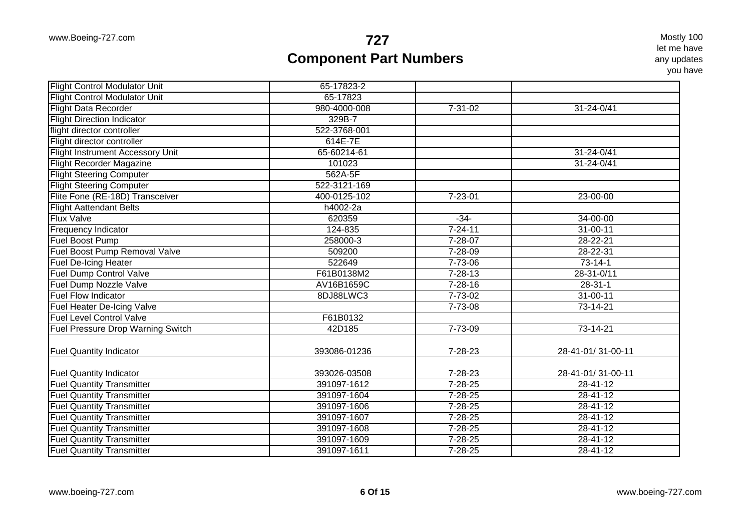| <b>Flight Control Modulator Unit</b>                               | 65-17823-2                  |               |                   |
|--------------------------------------------------------------------|-----------------------------|---------------|-------------------|
| <b>Flight Control Modulator Unit</b>                               | 65-17823                    |               |                   |
| <b>Flight Data Recorder</b>                                        | 980-4000-008                | $7 - 31 - 02$ | 31-24-0/41        |
| <b>Flight Direction Indicator</b>                                  | 329B-7                      |               |                   |
| flight director controller                                         | 522-3768-001                |               |                   |
| Flight director controller                                         | 614E-7E                     |               |                   |
| Flight Instrument Accessory Unit                                   | 65-60214-61                 |               | 31-24-0/41        |
| <b>Flight Recorder Magazine</b>                                    | 101023                      |               | 31-24-0/41        |
| <b>Flight Steering Computer</b>                                    | 562A-5F                     |               |                   |
| <b>Flight Steering Computer</b>                                    | 522-3121-169                |               |                   |
| Flite Fone (RE-18D) Transceiver                                    | 400-0125-102                | $7 - 23 - 01$ | $23 - 00 - 00$    |
| <b>Flight Aattendant Belts</b>                                     | h4002-2a                    |               |                   |
| <b>Flux Valve</b>                                                  | 620359                      | $-34-$        | 34-00-00          |
| <b>Frequency Indicator</b>                                         | 124-835                     | $7 - 24 - 11$ | $31 - 00 - 11$    |
| Fuel Boost Pump                                                    | 258000-3                    | $7 - 28 - 07$ | $28 - 22 - 21$    |
| Fuel Boost Pump Removal Valve                                      | 509200                      | $7 - 28 - 09$ | 28-22-31          |
| <b>Fuel De-Icing Heater</b>                                        | 522649                      | $7 - 73 - 06$ | $73-14-1$         |
| <b>Fuel Dump Control Valve</b>                                     | F61B0138M2                  | $7 - 28 - 13$ | 28-31-0/11        |
| Fuel Dump Nozzle Valve                                             | AV16B1659C                  | $7 - 28 - 16$ | $28-31-1$         |
| <b>Fuel Flow Indicator</b>                                         | 8DJ88LWC3                   | $7 - 73 - 02$ | $31 - 00 - 11$    |
| Fuel Heater De-Icing Valve                                         |                             | $7 - 73 - 08$ | $73 - 14 - 21$    |
| <b>Fuel Level Control Valve</b>                                    | F61B0132                    |               |                   |
| Fuel Pressure Drop Warning Switch                                  | 42D185                      | 7-73-09       | 73-14-21          |
|                                                                    |                             |               |                   |
| <b>Fuel Quantity Indicator</b>                                     | 393086-01236                | 7-28-23       | 28-41-01/31-00-11 |
|                                                                    |                             | 7-28-23       | 28-41-01/31-00-11 |
| <b>Fuel Quantity Indicator</b><br><b>Fuel Quantity Transmitter</b> | 393026-03508<br>391097-1612 | $7 - 28 - 25$ | $28 - 41 - 12$    |
| <b>Fuel Quantity Transmitter</b>                                   | 391097-1604                 | $7 - 28 - 25$ | 28-41-12          |
| <b>Fuel Quantity Transmitter</b>                                   | 391097-1606                 | $7 - 28 - 25$ | $28 - 41 - 12$    |
|                                                                    |                             |               |                   |
| <b>Fuel Quantity Transmitter</b>                                   | 391097-1607                 | $7 - 28 - 25$ | $28 - 41 - 12$    |
| <b>Fuel Quantity Transmitter</b>                                   | 391097-1608                 | $7 - 28 - 25$ | $28 - 41 - 12$    |
| <b>Fuel Quantity Transmitter</b>                                   | 391097-1609                 | $7 - 28 - 25$ | $28 - 41 - 12$    |
| <b>Fuel Quantity Transmitter</b>                                   | 391097-1611                 | $7 - 28 - 25$ | 28-41-12          |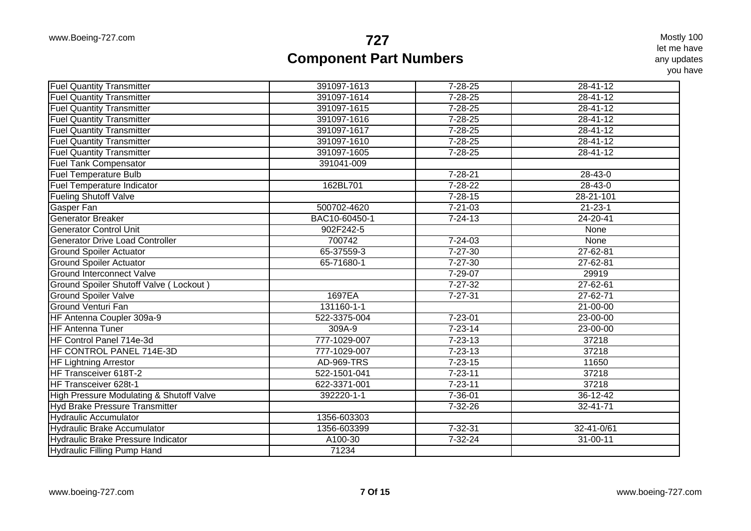| <b>Fuel Quantity Transmitter</b>          | 391097-1613       | $7 - 28 - 25$ | 28-41-12       |
|-------------------------------------------|-------------------|---------------|----------------|
| <b>Fuel Quantity Transmitter</b>          | 391097-1614       | $7 - 28 - 25$ | $28 - 41 - 12$ |
| <b>Fuel Quantity Transmitter</b>          | 391097-1615       | $7 - 28 - 25$ | $28 - 41 - 12$ |
| <b>Fuel Quantity Transmitter</b>          | 391097-1616       | $7 - 28 - 25$ | $28 - 41 - 12$ |
| <b>Fuel Quantity Transmitter</b>          | 391097-1617       | $7 - 28 - 25$ | $28 - 41 - 12$ |
| <b>Fuel Quantity Transmitter</b>          | 391097-1610       | $7 - 28 - 25$ | $28 - 41 - 12$ |
| <b>Fuel Quantity Transmitter</b>          | 391097-1605       | $7 - 28 - 25$ | $28 - 41 - 12$ |
| <b>Fuel Tank Compensator</b>              | 391041-009        |               |                |
| <b>Fuel Temperature Bulb</b>              |                   | $7 - 28 - 21$ | 28-43-0        |
| Fuel Temperature Indicator                | 162BL701          | $7 - 28 - 22$ | $28 - 43 - 0$  |
| <b>Fueling Shutoff Valve</b>              |                   | $7 - 28 - 15$ | 28-21-101      |
| Gasper Fan                                | 500702-4620       | $7 - 21 - 03$ | $21 - 23 - 1$  |
| <b>Generator Breaker</b>                  | BAC10-60450-1     | $7 - 24 - 13$ | 24-20-41       |
| <b>Generator Control Unit</b>             | 902F242-5         |               | None           |
| <b>Generator Drive Load Controller</b>    | 700742            | $7 - 24 - 03$ | None           |
| <b>Ground Spoiler Actuator</b>            | 65-37559-3        | $7 - 27 - 30$ | 27-62-81       |
| <b>Ground Spoiler Actuator</b>            | 65-71680-1        | $7 - 27 - 30$ | 27-62-81       |
| <b>Ground Interconnect Valve</b>          |                   | 7-29-07       | 29919          |
| Ground Spoiler Shutoff Valve (Lockout)    |                   | $7 - 27 - 32$ | 27-62-61       |
| Ground Spoiler Valve                      | 1697EA            | $7 - 27 - 31$ | $27 - 62 - 71$ |
| <b>Ground Venturi Fan</b>                 | 131160-1-1        |               | $21 - 00 - 00$ |
| HF Antenna Coupler 309a-9                 | 522-3375-004      | $7 - 23 - 01$ | 23-00-00       |
| <b>HF Antenna Tuner</b>                   | 309A-9            | $7 - 23 - 14$ | 23-00-00       |
| HF Control Panel 714e-3d                  | 777-1029-007      | $7 - 23 - 13$ | 37218          |
| HF CONTROL PANEL 714E-3D                  | 777-1029-007      | $7 - 23 - 13$ | 37218          |
| <b>HF Lightning Arrestor</b>              | <b>AD-969-TRS</b> | $7 - 23 - 15$ | 11650          |
| HF Transceiver 618T-2                     | 522-1501-041      | $7 - 23 - 11$ | 37218          |
| HF Transceiver 628t-1                     | 622-3371-001      | $7 - 23 - 11$ | 37218          |
| High Pressure Modulating & Shutoff Valve  | 392220-1-1        | $7 - 36 - 01$ | $36 - 12 - 42$ |
| Hyd Brake Pressure Transmitter            |                   | 7-32-26       | 32-41-71       |
| <b>Hydraulic Accumulator</b>              | 1356-603303       |               |                |
| <b>Hydraulic Brake Accumulator</b>        | 1356-603399       | $7 - 32 - 31$ | 32-41-0/61     |
| <b>Hydraulic Brake Pressure Indicator</b> | A100-30           | 7-32-24       | 31-00-11       |
| <b>Hydraulic Filling Pump Hand</b>        | 71234             |               |                |
|                                           |                   |               |                |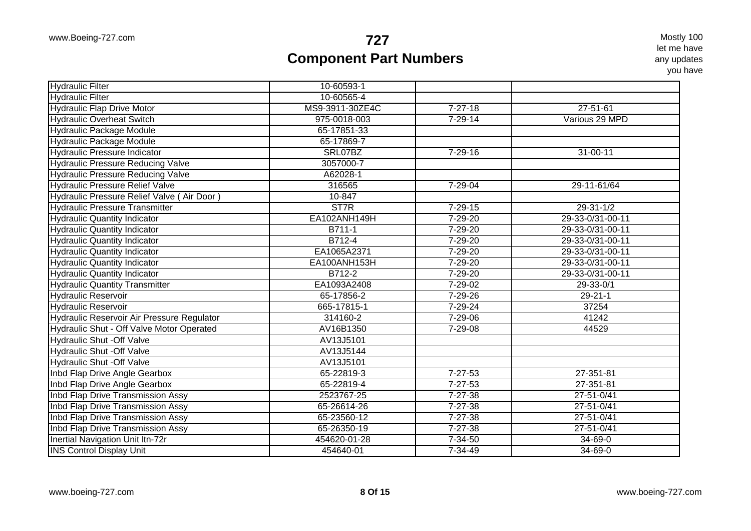| <b>Hydraulic Filter</b>                    | 10-60593-1      |               |                  |
|--------------------------------------------|-----------------|---------------|------------------|
| <b>Hydraulic Filter</b>                    | 10-60565-4      |               |                  |
| <b>Hydraulic Flap Drive Motor</b>          | MS9-3911-30ZE4C | $7 - 27 - 18$ | $27 - 51 - 61$   |
| <b>Hydraulic Overheat Switch</b>           | 975-0018-003    | $7 - 29 - 14$ | Various 29 MPD   |
| <b>Hydraulic Package Module</b>            | 65-17851-33     |               |                  |
| <b>Hydraulic Package Module</b>            | 65-17869-7      |               |                  |
| <b>Hydraulic Pressure Indicator</b>        | SRL07BZ         | $7 - 29 - 16$ | 31-00-11         |
| <b>Hydraulic Pressure Reducing Valve</b>   | 3057000-7       |               |                  |
| <b>Hydraulic Pressure Reducing Valve</b>   | A62028-1        |               |                  |
| <b>Hydraulic Pressure Relief Valve</b>     | 316565          | $7 - 29 - 04$ | 29-11-61/64      |
| Hydraulic Pressure Relief Valve (Air Door) | 10-847          |               |                  |
| <b>Hydraulic Pressure Transmitter</b>      | ST7R            | $7 - 29 - 15$ | $29 - 31 - 1/2$  |
| <b>Hydraulic Quantity Indicator</b>        | EA102ANH149H    | $7 - 29 - 20$ | 29-33-0/31-00-11 |
| <b>Hydraulic Quantity Indicator</b>        | B711-1          | $7 - 29 - 20$ | 29-33-0/31-00-11 |
| <b>Hydraulic Quantity Indicator</b>        | B712-4          | $7 - 29 - 20$ | 29-33-0/31-00-11 |
| <b>Hydraulic Quantity Indicator</b>        | EA1065A2371     | 7-29-20       | 29-33-0/31-00-11 |
| <b>Hydraulic Quantity Indicator</b>        | EA100ANH153H    | $7 - 29 - 20$ | 29-33-0/31-00-11 |
| <b>Hydraulic Quantity Indicator</b>        | B712-2          | 7-29-20       | 29-33-0/31-00-11 |
| <b>Hydraulic Quantity Transmitter</b>      | EA1093A2408     | 7-29-02       | 29-33-0/1        |
| <b>Hydraulic Reservoir</b>                 | 65-17856-2      | $7 - 29 - 26$ | $29 - 21 - 1$    |
| <b>Hydraulic Reservoir</b>                 | 665-17815-1     | $7 - 29 - 24$ | 37254            |
| Hydraulic Reservoir Air Pressure Regulator | 314160-2        | $7 - 29 - 06$ | 41242            |
| Hydraulic Shut - Off Valve Motor Operated  | AV16B1350       | 7-29-08       | 44529            |
| <b>Hydraulic Shut -Off Valve</b>           | AV13J5101       |               |                  |
| <b>Hydraulic Shut -Off Valve</b>           | AV13J5144       |               |                  |
| <b>Hydraulic Shut -Off Valve</b>           | AV13J5101       |               |                  |
| Inbd Flap Drive Angle Gearbox              | 65-22819-3      | $7 - 27 - 53$ | 27-351-81        |
| Inbd Flap Drive Angle Gearbox              | 65-22819-4      | $7 - 27 - 53$ | 27-351-81        |
| Inbd Flap Drive Transmission Assy          | 2523767-25      | 7-27-38       | 27-51-0/41       |
| Inbd Flap Drive Transmission Assy          | 65-26614-26     | 7-27-38       | 27-51-0/41       |
| Inbd Flap Drive Transmission Assy          | 65-23560-12     | $7 - 27 - 38$ | 27-51-0/41       |
| Inbd Flap Drive Transmission Assy          | 65-26350-19     | $7 - 27 - 38$ | 27-51-0/41       |
| Inertial Navigation Unit Itn-72r           | 454620-01-28    | $7 - 34 - 50$ | $34 - 69 - 0$    |
| <b>INS Control Display Unit</b>            | 454640-01       | $7 - 34 - 49$ | 34-69-0          |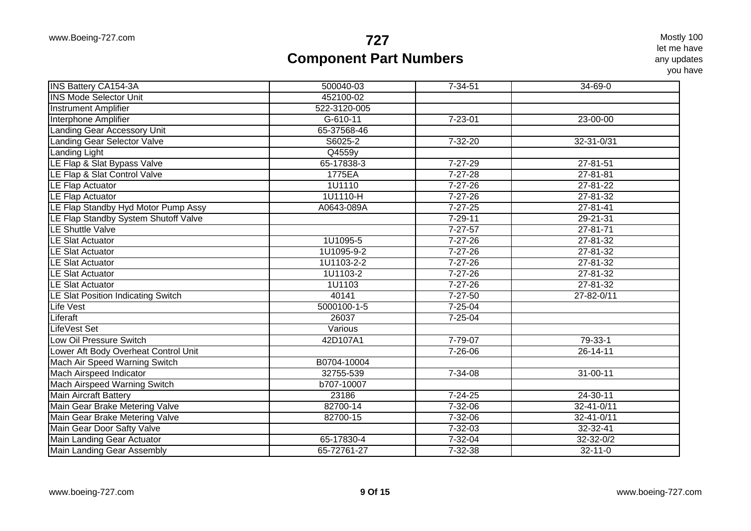| 452100-02<br>522-3120-005<br>$7 - 23 - 01$<br>$G-610-11$<br>23-00-00<br>Landing Gear Accessory Unit<br>65-37568-46<br><b>Landing Gear Selector Valve</b><br>S6025-2<br>$7 - 32 - 20$<br>32-31-0/31<br>Q4559y<br>65-17838-3<br>$7 - 27 - 29$<br>27-81-51<br>$7 - 27 - 28$<br>1775EA<br>$27 - 81 - 81$<br>1U1110<br>$7 - 27 - 26$<br>$27 - 81 - 22$<br>1U1110-H<br>$7 - 27 - 26$<br>$27 - 81 - 32$<br>LE Flap Standby Hyd Motor Pump Assy<br>A0643-089A<br>$7 - 27 - 25$<br>$27 - 81 - 41$<br>$29 - 21 - 31$<br>$7 - 29 - 11$<br>$7 - 27 - 57$<br>$27 - 81 - 71$<br>1U1095-5<br>$7 - 27 - 26$<br>$27 - 81 - 32$<br>1U1095-9-2<br>$7 - 27 - 26$<br>$27 - 81 - 32$<br>1U1103-2-2<br>$7 - 27 - 26$<br>$27 - 81 - 32$<br>1U1103-2<br>$7 - 27 - 26$<br>27-81-32<br>$7 - 27 - 26$<br>1U1103<br>27-81-32<br>40141<br>$7 - 27 - 50$<br>27-82-0/11<br>5000100-1-5<br>$7 - 25 - 04$<br>$7 - 25 - 04$<br>26037<br>Various<br>Low Oil Pressure Switch<br>7-79-07<br>42D107A1<br>79-33-1<br>$7 - 26 - 06$<br>$26 - 14 - 11$<br>B0704-10004<br>32755-539<br>7-34-08<br>$31 - 00 - 11$<br>Mach Airspeed Warning Switch<br>b707-10007<br><b>Main Aircraft Battery</b><br>23186<br>$7 - 24 - 25$<br>24-30-11<br>Main Gear Brake Metering Valve<br>$32 - 41 - 0/11$<br>82700-14<br>7-32-06<br>Main Gear Brake Metering Valve<br>$7 - 32 - 06$<br>$32 - 41 - 0/11$<br>82700-15<br>$7 - 32 - 03$<br>32-32-41<br>Main Landing Gear Actuator<br>65-17830-4<br>$7 - 32 - 04$<br>$32 - 32 - 0/2$<br>Main Landing Gear Assembly<br>65-72761-27<br>$7 - 32 - 38$<br>$32 - 11 - 0$ | <b>INS Battery CA154-3A</b>               | 500040-03 | $7 - 34 - 51$ | 34-69-0 |
|-------------------------------------------------------------------------------------------------------------------------------------------------------------------------------------------------------------------------------------------------------------------------------------------------------------------------------------------------------------------------------------------------------------------------------------------------------------------------------------------------------------------------------------------------------------------------------------------------------------------------------------------------------------------------------------------------------------------------------------------------------------------------------------------------------------------------------------------------------------------------------------------------------------------------------------------------------------------------------------------------------------------------------------------------------------------------------------------------------------------------------------------------------------------------------------------------------------------------------------------------------------------------------------------------------------------------------------------------------------------------------------------------------------------------------------------------------------------------------------------------------------------------------------------------------|-------------------------------------------|-----------|---------------|---------|
|                                                                                                                                                                                                                                                                                                                                                                                                                                                                                                                                                                                                                                                                                                                                                                                                                                                                                                                                                                                                                                                                                                                                                                                                                                                                                                                                                                                                                                                                                                                                                       | <b>INS Mode Selector Unit</b>             |           |               |         |
|                                                                                                                                                                                                                                                                                                                                                                                                                                                                                                                                                                                                                                                                                                                                                                                                                                                                                                                                                                                                                                                                                                                                                                                                                                                                                                                                                                                                                                                                                                                                                       | <b>Instrument Amplifier</b>               |           |               |         |
|                                                                                                                                                                                                                                                                                                                                                                                                                                                                                                                                                                                                                                                                                                                                                                                                                                                                                                                                                                                                                                                                                                                                                                                                                                                                                                                                                                                                                                                                                                                                                       | Interphone Amplifier                      |           |               |         |
|                                                                                                                                                                                                                                                                                                                                                                                                                                                                                                                                                                                                                                                                                                                                                                                                                                                                                                                                                                                                                                                                                                                                                                                                                                                                                                                                                                                                                                                                                                                                                       |                                           |           |               |         |
|                                                                                                                                                                                                                                                                                                                                                                                                                                                                                                                                                                                                                                                                                                                                                                                                                                                                                                                                                                                                                                                                                                                                                                                                                                                                                                                                                                                                                                                                                                                                                       |                                           |           |               |         |
|                                                                                                                                                                                                                                                                                                                                                                                                                                                                                                                                                                                                                                                                                                                                                                                                                                                                                                                                                                                                                                                                                                                                                                                                                                                                                                                                                                                                                                                                                                                                                       | Landing Light                             |           |               |         |
|                                                                                                                                                                                                                                                                                                                                                                                                                                                                                                                                                                                                                                                                                                                                                                                                                                                                                                                                                                                                                                                                                                                                                                                                                                                                                                                                                                                                                                                                                                                                                       | LE Flap & Slat Bypass Valve               |           |               |         |
|                                                                                                                                                                                                                                                                                                                                                                                                                                                                                                                                                                                                                                                                                                                                                                                                                                                                                                                                                                                                                                                                                                                                                                                                                                                                                                                                                                                                                                                                                                                                                       | LE Flap & Slat Control Valve              |           |               |         |
|                                                                                                                                                                                                                                                                                                                                                                                                                                                                                                                                                                                                                                                                                                                                                                                                                                                                                                                                                                                                                                                                                                                                                                                                                                                                                                                                                                                                                                                                                                                                                       | <b>LE Flap Actuator</b>                   |           |               |         |
|                                                                                                                                                                                                                                                                                                                                                                                                                                                                                                                                                                                                                                                                                                                                                                                                                                                                                                                                                                                                                                                                                                                                                                                                                                                                                                                                                                                                                                                                                                                                                       | <b>LE Flap Actuator</b>                   |           |               |         |
|                                                                                                                                                                                                                                                                                                                                                                                                                                                                                                                                                                                                                                                                                                                                                                                                                                                                                                                                                                                                                                                                                                                                                                                                                                                                                                                                                                                                                                                                                                                                                       |                                           |           |               |         |
|                                                                                                                                                                                                                                                                                                                                                                                                                                                                                                                                                                                                                                                                                                                                                                                                                                                                                                                                                                                                                                                                                                                                                                                                                                                                                                                                                                                                                                                                                                                                                       | LE Flap Standby System Shutoff Valve      |           |               |         |
|                                                                                                                                                                                                                                                                                                                                                                                                                                                                                                                                                                                                                                                                                                                                                                                                                                                                                                                                                                                                                                                                                                                                                                                                                                                                                                                                                                                                                                                                                                                                                       | <b>LE Shuttle Valve</b>                   |           |               |         |
|                                                                                                                                                                                                                                                                                                                                                                                                                                                                                                                                                                                                                                                                                                                                                                                                                                                                                                                                                                                                                                                                                                                                                                                                                                                                                                                                                                                                                                                                                                                                                       | <b>LE Slat Actuator</b>                   |           |               |         |
|                                                                                                                                                                                                                                                                                                                                                                                                                                                                                                                                                                                                                                                                                                                                                                                                                                                                                                                                                                                                                                                                                                                                                                                                                                                                                                                                                                                                                                                                                                                                                       | <b>LE Slat Actuator</b>                   |           |               |         |
|                                                                                                                                                                                                                                                                                                                                                                                                                                                                                                                                                                                                                                                                                                                                                                                                                                                                                                                                                                                                                                                                                                                                                                                                                                                                                                                                                                                                                                                                                                                                                       | <b>LE Slat Actuator</b>                   |           |               |         |
|                                                                                                                                                                                                                                                                                                                                                                                                                                                                                                                                                                                                                                                                                                                                                                                                                                                                                                                                                                                                                                                                                                                                                                                                                                                                                                                                                                                                                                                                                                                                                       | <b>LE Slat Actuator</b>                   |           |               |         |
|                                                                                                                                                                                                                                                                                                                                                                                                                                                                                                                                                                                                                                                                                                                                                                                                                                                                                                                                                                                                                                                                                                                                                                                                                                                                                                                                                                                                                                                                                                                                                       | <b>LE Slat Actuator</b>                   |           |               |         |
|                                                                                                                                                                                                                                                                                                                                                                                                                                                                                                                                                                                                                                                                                                                                                                                                                                                                                                                                                                                                                                                                                                                                                                                                                                                                                                                                                                                                                                                                                                                                                       | <b>LE Slat Position Indicating Switch</b> |           |               |         |
|                                                                                                                                                                                                                                                                                                                                                                                                                                                                                                                                                                                                                                                                                                                                                                                                                                                                                                                                                                                                                                                                                                                                                                                                                                                                                                                                                                                                                                                                                                                                                       | <b>Life Vest</b>                          |           |               |         |
|                                                                                                                                                                                                                                                                                                                                                                                                                                                                                                                                                                                                                                                                                                                                                                                                                                                                                                                                                                                                                                                                                                                                                                                                                                                                                                                                                                                                                                                                                                                                                       | Liferaft                                  |           |               |         |
|                                                                                                                                                                                                                                                                                                                                                                                                                                                                                                                                                                                                                                                                                                                                                                                                                                                                                                                                                                                                                                                                                                                                                                                                                                                                                                                                                                                                                                                                                                                                                       | LifeVest Set                              |           |               |         |
|                                                                                                                                                                                                                                                                                                                                                                                                                                                                                                                                                                                                                                                                                                                                                                                                                                                                                                                                                                                                                                                                                                                                                                                                                                                                                                                                                                                                                                                                                                                                                       |                                           |           |               |         |
|                                                                                                                                                                                                                                                                                                                                                                                                                                                                                                                                                                                                                                                                                                                                                                                                                                                                                                                                                                                                                                                                                                                                                                                                                                                                                                                                                                                                                                                                                                                                                       | Lower Aft Body Overheat Control Unit      |           |               |         |
|                                                                                                                                                                                                                                                                                                                                                                                                                                                                                                                                                                                                                                                                                                                                                                                                                                                                                                                                                                                                                                                                                                                                                                                                                                                                                                                                                                                                                                                                                                                                                       | Mach Air Speed Warning Switch             |           |               |         |
|                                                                                                                                                                                                                                                                                                                                                                                                                                                                                                                                                                                                                                                                                                                                                                                                                                                                                                                                                                                                                                                                                                                                                                                                                                                                                                                                                                                                                                                                                                                                                       | Mach Airspeed Indicator                   |           |               |         |
|                                                                                                                                                                                                                                                                                                                                                                                                                                                                                                                                                                                                                                                                                                                                                                                                                                                                                                                                                                                                                                                                                                                                                                                                                                                                                                                                                                                                                                                                                                                                                       |                                           |           |               |         |
|                                                                                                                                                                                                                                                                                                                                                                                                                                                                                                                                                                                                                                                                                                                                                                                                                                                                                                                                                                                                                                                                                                                                                                                                                                                                                                                                                                                                                                                                                                                                                       |                                           |           |               |         |
|                                                                                                                                                                                                                                                                                                                                                                                                                                                                                                                                                                                                                                                                                                                                                                                                                                                                                                                                                                                                                                                                                                                                                                                                                                                                                                                                                                                                                                                                                                                                                       |                                           |           |               |         |
|                                                                                                                                                                                                                                                                                                                                                                                                                                                                                                                                                                                                                                                                                                                                                                                                                                                                                                                                                                                                                                                                                                                                                                                                                                                                                                                                                                                                                                                                                                                                                       |                                           |           |               |         |
|                                                                                                                                                                                                                                                                                                                                                                                                                                                                                                                                                                                                                                                                                                                                                                                                                                                                                                                                                                                                                                                                                                                                                                                                                                                                                                                                                                                                                                                                                                                                                       | Main Gear Door Safty Valve                |           |               |         |
|                                                                                                                                                                                                                                                                                                                                                                                                                                                                                                                                                                                                                                                                                                                                                                                                                                                                                                                                                                                                                                                                                                                                                                                                                                                                                                                                                                                                                                                                                                                                                       |                                           |           |               |         |
|                                                                                                                                                                                                                                                                                                                                                                                                                                                                                                                                                                                                                                                                                                                                                                                                                                                                                                                                                                                                                                                                                                                                                                                                                                                                                                                                                                                                                                                                                                                                                       |                                           |           |               |         |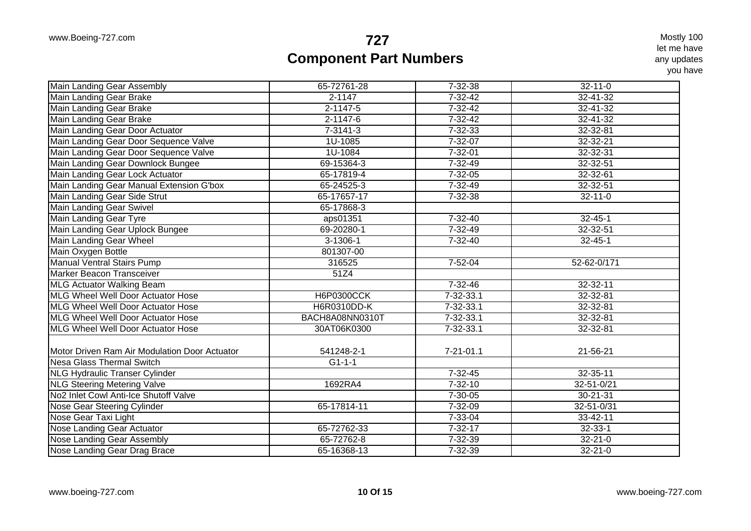| Main Landing Gear Assembly                    | 65-72761-28        | $7 - 32 - 38$   | $32 - 11 - 0$    |
|-----------------------------------------------|--------------------|-----------------|------------------|
| Main Landing Gear Brake                       | $2 - 1147$         | $7 - 32 - 42$   | $32 - 41 - 32$   |
| Main Landing Gear Brake                       | $2 - 1147 - 5$     | $7 - 32 - 42$   | 32-41-32         |
| <b>Main Landing Gear Brake</b>                | $2 - 1147 - 6$     | $7 - 32 - 42$   | $32 - 41 - 32$   |
| Main Landing Gear Door Actuator               | $7 - 3141 - 3$     | $7 - 32 - 33$   | 32-32-81         |
| Main Landing Gear Door Sequence Valve         | 1U-1085            | $7 - 32 - 07$   | $32 - 32 - 21$   |
| Main Landing Gear Door Sequence Valve         | 1U-1084            | $7 - 32 - 01$   | 32-32-31         |
| Main Landing Gear Downlock Bungee             | 69-15364-3         | 7-32-49         | 32-32-51         |
| Main Landing Gear Lock Actuator               | 65-17819-4         | $7 - 32 - 05$   | 32-32-61         |
| Main Landing Gear Manual Extension G'box      | 65-24525-3         | $7 - 32 - 49$   | $32 - 32 - 51$   |
| Main Landing Gear Side Strut                  | 65-17657-17        | $7 - 32 - 38$   | $32 - 11 - 0$    |
| <b>Main Landing Gear Swivel</b>               | 65-17868-3         |                 |                  |
| <b>Main Landing Gear Tyre</b>                 | aps01351           | $7 - 32 - 40$   | $32 - 45 - 1$    |
| Main Landing Gear Uplock Bungee               | 69-20280-1         | $7 - 32 - 49$   | $32 - 32 - 51$   |
| <b>Main Landing Gear Wheel</b>                | $3 - 1306 - 1$     | $7 - 32 - 40$   | $32 - 45 - 1$    |
| Main Oxygen Bottle                            | 801307-00          |                 |                  |
| <b>Manual Ventral Stairs Pump</b>             | 316525             | $7 - 52 - 04$   | 52-62-0/171      |
| Marker Beacon Transceiver                     | 51Z4               |                 |                  |
| <b>MLG Actuator Walking Beam</b>              |                    | 7-32-46         | 32-32-11         |
| MLG Wheel Well Door Actuator Hose             | <b>H6P0300CCK</b>  | $7 - 32 - 33.1$ | 32-32-81         |
| MLG Wheel Well Door Actuator Hose             | <b>H6R0310DD-K</b> | 7-32-33.1       | 32-32-81         |
| <b>MLG Wheel Well Door Actuator Hose</b>      | BACH8A08NN0310T    | $7 - 32 - 33.1$ | 32-32-81         |
| MLG Wheel Well Door Actuator Hose             | 30AT06K0300        | 7-32-33.1       | 32-32-81         |
| Motor Driven Ram Air Modulation Door Actuator | 541248-2-1         | $7 - 21 - 01.1$ | 21-56-21         |
| <b>Nesa Glass Thermal Switch</b>              | $G1 - 1 - 1$       |                 |                  |
| <b>NLG Hydraulic Transer Cylinder</b>         |                    | $7 - 32 - 45$   | 32-35-11         |
| <b>NLG Steering Metering Valve</b>            | 1692RA4            | $7 - 32 - 10$   | 32-51-0/21       |
| No2 Inlet Cowl Anti-Ice Shutoff Valve         |                    | $7 - 30 - 05$   | 30-21-31         |
| Nose Gear Steering Cylinder                   | 65-17814-11        | $7 - 32 - 09$   | $32 - 51 - 0/31$ |
| Nose Gear Taxi Light                          |                    | $7 - 33 - 04$   | 33-42-11         |
| Nose Landing Gear Actuator                    | 65-72762-33        | $7 - 32 - 17$   | $32 - 33 - 1$    |
| Nose Landing Gear Assembly                    | 65-72762-8         | $7 - 32 - 39$   | $32 - 21 - 0$    |
| Nose Landing Gear Drag Brace                  | 65-16368-13        | 7-32-39         | $32 - 21 - 0$    |
|                                               |                    |                 |                  |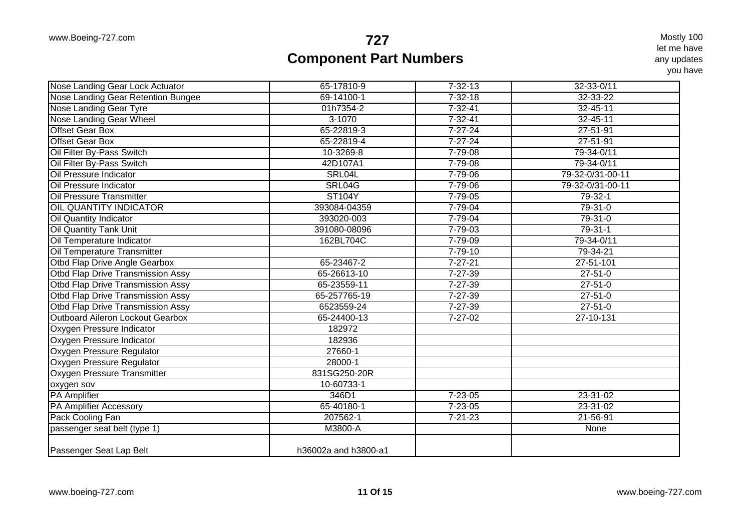| Nose Landing Gear Lock Actuator          | 65-17810-9           | $7 - 32 - 13$ | 32-33-0/11       |
|------------------------------------------|----------------------|---------------|------------------|
| Nose Landing Gear Retention Bungee       | 69-14100-1           | $7 - 32 - 18$ | 32-33-22         |
| Nose Landing Gear Tyre                   | 01h7354-2            | $7 - 32 - 41$ | 32-45-11         |
| <b>Nose Landing Gear Wheel</b>           | $3-1070$             | $7 - 32 - 41$ | $32 - 45 - 11$   |
| <b>Offset Gear Box</b>                   | 65-22819-3           | $7 - 27 - 24$ | $27 - 51 - 91$   |
| <b>Offset Gear Box</b>                   | 65-22819-4           | $7 - 27 - 24$ | $27 - 51 - 91$   |
| Oil Filter By-Pass Switch                | 10-3269-8            | $7 - 79 - 08$ | 79-34-0/11       |
| Oil Filter By-Pass Switch                | 42D107A1             | $7 - 79 - 08$ | 79-34-0/11       |
| Oil Pressure Indicator                   | SRL04L               | 7-79-06       | 79-32-0/31-00-11 |
| Oil Pressure Indicator                   | SRL04G               | 7-79-06       | 79-32-0/31-00-11 |
| <b>Oil Pressure Transmitter</b>          | <b>ST104Y</b>        | $7 - 79 - 05$ | $79 - 32 - 1$    |
| <b>OIL QUANTITY INDICATOR</b>            | 393084-04359         | $7 - 79 - 04$ | 79-31-0          |
| Oil Quantity Indicator                   | 393020-003           | 7-79-04       | 79-31-0          |
| <b>Oil Quantity Tank Unit</b>            | 391080-08096         | $7 - 79 - 03$ | $79-31-1$        |
| Oil Temperature Indicator                | 162BL704C            | $7 - 79 - 09$ | 79-34-0/11       |
| Oil Temperature Transmitter              |                      | $7 - 79 - 10$ | 79-34-21         |
| Otbd Flap Drive Angle Gearbox            | 65-23467-2           | $7 - 27 - 21$ | 27-51-101        |
| <b>Otbd Flap Drive Transmission Assy</b> | 65-26613-10          | 7-27-39       | $27 - 51 - 0$    |
| Otbd Flap Drive Transmission Assy        | 65-23559-11          | $7 - 27 - 39$ | $27 - 51 - 0$    |
| Otbd Flap Drive Transmission Assy        | 65-257765-19         | $7 - 27 - 39$ | $27 - 51 - 0$    |
| <b>Otbd Flap Drive Transmission Assy</b> | 6523559-24           | $7 - 27 - 39$ | $27 - 51 - 0$    |
| <b>Outboard Aileron Lockout Gearbox</b>  | 65-24400-13          | $7 - 27 - 02$ | 27-10-131        |
| Oxygen Pressure Indicator                | 182972               |               |                  |
| Oxygen Pressure Indicator                | 182936               |               |                  |
| Oxygen Pressure Regulator                | 27660-1              |               |                  |
| Oxygen Pressure Regulator                | 28000-1              |               |                  |
| Oxygen Pressure Transmitter              | 831SG250-20R         |               |                  |
| oxygen sov                               | $10 - 60733 - 1$     |               |                  |
| <b>PA</b> Amplifier                      | 346D1                | $7 - 23 - 05$ | $23 - 31 - 02$   |
| <b>PA Amplifier Accessory</b>            | 65-40180-1           | $7 - 23 - 05$ | $23 - 31 - 02$   |
| Pack Cooling Fan                         | 207562-1             | $7 - 21 - 23$ | 21-56-91         |
| passenger seat belt (type 1)             | M3800-A              |               | None             |
| Passenger Seat Lap Belt                  | h36002a and h3800-a1 |               |                  |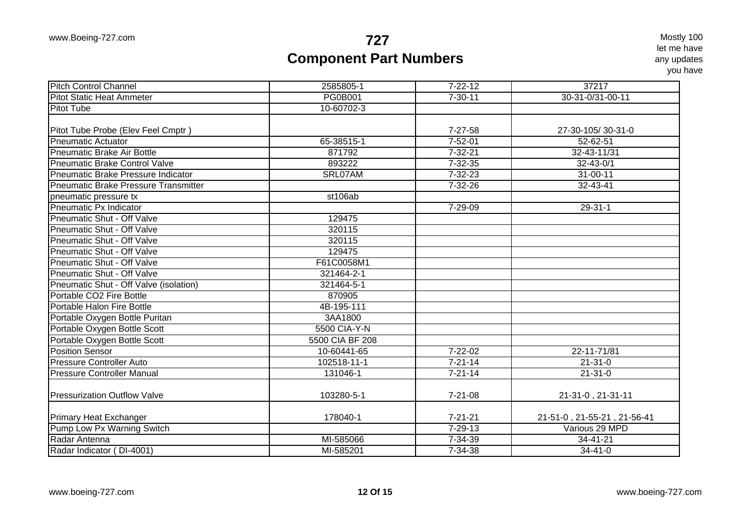| <b>Pitch Control Channel</b>                | 2585805-1       | $7 - 22 - 12$ | 37217                       |
|---------------------------------------------|-----------------|---------------|-----------------------------|
| <b>Pitot Static Heat Ammeter</b>            | <b>PG0B001</b>  | $7 - 30 - 11$ | 30-31-0/31-00-11            |
| <b>Pitot Tube</b>                           | 10-60702-3      |               |                             |
|                                             |                 |               |                             |
| Pitot Tube Probe (Elev Feel Cmptr)          |                 | $7-27-58$     | 27-30-105/30-31-0           |
| <b>Pneumatic Actuator</b>                   | 65-38515-1      | $7 - 52 - 01$ | $52 - 62 - 51$              |
| <b>Pneumatic Brake Air Bottle</b>           | 871792          | $7 - 32 - 21$ | 32-43-11/31                 |
| <b>Pneumatic Brake Control Valve</b>        | 893222          | $7 - 32 - 35$ | $32 - 43 - 0/1$             |
| <b>Pneumatic Brake Pressure Indicator</b>   | SRL07AM         | $7 - 32 - 23$ | $31 - 00 - 11$              |
| <b>Pneumatic Brake Pressure Transmitter</b> |                 | $7 - 32 - 26$ | 32-43-41                    |
| pneumatic pressure tx                       | st106ab         |               |                             |
| Pneumatic Px Indicator                      |                 | 7-29-09       | 29-31-1                     |
| <b>Pneumatic Shut - Off Valve</b>           | 129475          |               |                             |
| <b>Pneumatic Shut - Off Valve</b>           | 320115          |               |                             |
| Pneumatic Shut - Off Valve                  | 320115          |               |                             |
| <b>Pneumatic Shut - Off Valve</b>           | 129475          |               |                             |
| <b>Pneumatic Shut - Off Valve</b>           | F61C0058M1      |               |                             |
| Pneumatic Shut - Off Valve                  | 321464-2-1      |               |                             |
| Pneumatic Shut - Off Valve (isolation)      | 321464-5-1      |               |                             |
| Portable CO <sub>2</sub> Fire Bottle        | 870905          |               |                             |
| <b>Portable Halon Fire Bottle</b>           | 4B-195-111      |               |                             |
| Portable Oxygen Bottle Puritan              | 3AA1800         |               |                             |
| Portable Oxygen Bottle Scott                | 5500 CIA-Y-N    |               |                             |
| Portable Oxygen Bottle Scott                | 5500 CIA BF 208 |               |                             |
| Position Sensor                             | 10-60441-65     | $7 - 22 - 02$ | 22-11-71/81                 |
| Pressure Controller Auto                    | 102518-11-1     | $7 - 21 - 14$ | $21 - 31 - 0$               |
| <b>Pressure Controller Manual</b>           | 131046-1        | $7 - 21 - 14$ | $21 - 31 - 0$               |
| <b>Pressurization Outflow Valve</b>         | 103280-5-1      | $7 - 21 - 08$ | 21-31-0, 21-31-11           |
| Primary Heat Exchanger                      | 178040-1        | $7 - 21 - 21$ | 21-51-0, 21-55-21, 21-56-41 |
| Pump Low Px Warning Switch                  |                 | $7 - 29 - 13$ | Various 29 MPD              |
| Radar Antenna                               | MI-585066       | $7 - 34 - 39$ | 34-41-21                    |
| Radar Indicator (DI-4001)                   | MI-585201       | $7 - 34 - 38$ | $34 - 41 - 0$               |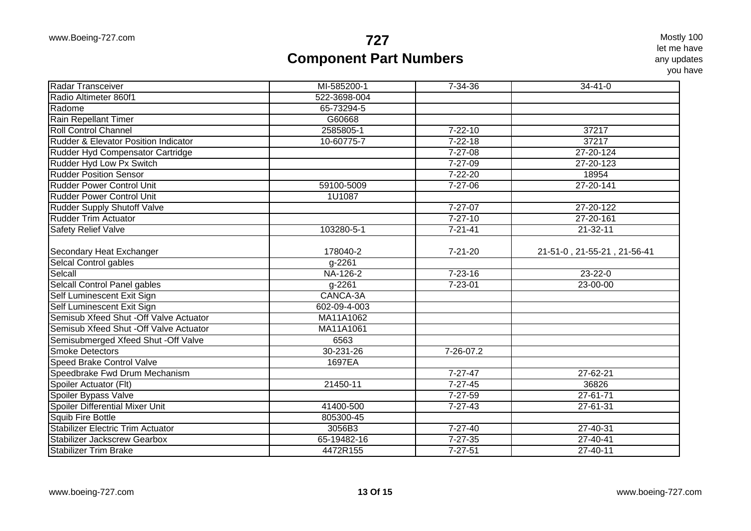| Radar Transceiver                        | MI-585200-1     | $7 - 34 - 36$ | $34-41-0$                   |
|------------------------------------------|-----------------|---------------|-----------------------------|
| Radio Altimeter 860f1                    | 522-3698-004    |               |                             |
| Radome                                   | 65-73294-5      |               |                             |
| Rain Repellant Timer                     | G60668          |               |                             |
| Roll Control Channel                     | 2585805-1       | $7 - 22 - 10$ | 37217                       |
| Rudder & Elevator Position Indicator     | 10-60775-7      | $7 - 22 - 18$ | 37217                       |
| Rudder Hyd Compensator Cartridge         |                 | 7-27-08       | 27-20-124                   |
| Rudder Hyd Low Px Switch                 |                 | $7 - 27 - 09$ | 27-20-123                   |
| <b>Rudder Position Sensor</b>            |                 | $7 - 22 - 20$ | 18954                       |
| Rudder Power Control Unit                | 59100-5009      | $7 - 27 - 06$ | 27-20-141                   |
| <b>Rudder Power Control Unit</b>         | 1U1087          |               |                             |
| <b>Rudder Supply Shutoff Valve</b>       |                 | $7 - 27 - 07$ | 27-20-122                   |
| <b>Rudder Trim Actuator</b>              |                 | $7 - 27 - 10$ | 27-20-161                   |
| <b>Safety Relief Valve</b>               | 103280-5-1      | $7 - 21 - 41$ | $21 - 32 - 11$              |
|                                          |                 |               |                             |
| Secondary Heat Exchanger                 | 178040-2        | $7 - 21 - 20$ | 21-51-0, 21-55-21, 21-56-41 |
| Selcal Control gables                    | g-2261          |               |                             |
| Selcall                                  | NA-126-2        | $7 - 23 - 16$ | 23-22-0                     |
| Selcall Control Panel gables             | g-2261          | $7 - 23 - 01$ | 23-00-00                    |
| Self Luminescent Exit Sign               | CANCA-3A        |               |                             |
| Self Luminescent Exit Sign               | 602-09-4-003    |               |                             |
| Semisub Xfeed Shut - Off Valve Actuator  | MA11A1062       |               |                             |
| Semisub Xfeed Shut - Off Valve Actuator  | MA11A1061       |               |                             |
| Semisubmerged Xfeed Shut - Off Valve     | 6563            |               |                             |
| Smoke Detectors                          | $30 - 231 - 26$ | 7-26-07.2     |                             |
| <b>Speed Brake Control Valve</b>         | 1697EA          |               |                             |
| Speedbrake Fwd Drum Mechanism            |                 | $7 - 27 - 47$ | 27-62-21                    |
| Spoiler Actuator (Flt)                   | 21450-11        | $7 - 27 - 45$ | 36826                       |
| Spoiler Bypass Valve                     |                 | $7 - 27 - 59$ | $27 - 61 - 71$              |
| Spoiler Differential Mixer Unit          | 41400-500       | $7 - 27 - 43$ | $27 - 61 - 31$              |
| Squib Fire Bottle                        | 805300-45       |               |                             |
| <b>Stabilizer Electric Trim Actuator</b> | 3056B3          | $7 - 27 - 40$ | 27-40-31                    |
| <b>Stabilizer Jackscrew Gearbox</b>      | 65-19482-16     | $7 - 27 - 35$ | 27-40-41                    |
| <b>Stabilizer Trim Brake</b>             | 4472R155        | $7 - 27 - 51$ | 27-40-11                    |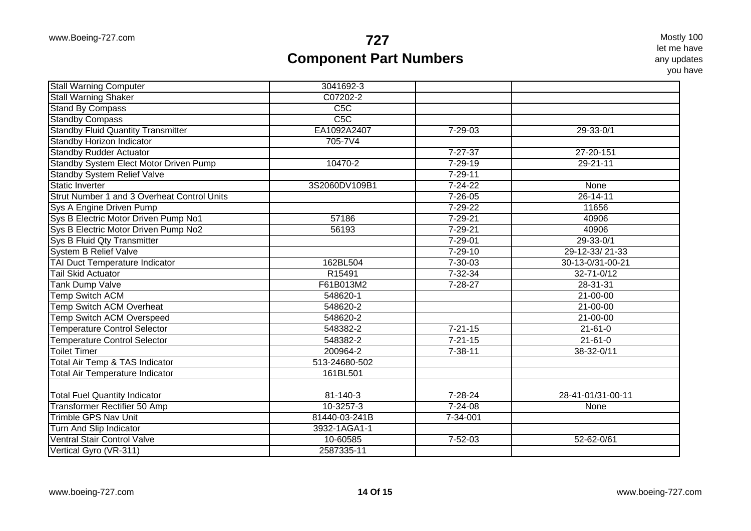| Stall Warning Shaker<br>C07202-2<br>C5C<br>C5C<br><b>Standby Compass</b><br><b>Standby Fluid Quantity Transmitter</b><br>EA1092A2407<br>$7 - 29 - 03$<br>$29 - 33 - 0/1$<br>Standby Horizon Indicator<br>705-7V4<br><b>Standby Rudder Actuator</b><br>$7 - 27 - 37$<br>27-20-151<br>Standby System Elect Motor Driven Pump<br>10470-2<br>$7 - 29 - 19$<br>$29 - 21 - 11$<br><b>Standby System Relief Valve</b><br>$7 - 29 - 11$<br>Static Inverter<br>3S2060DV109B1<br>$7 - 24 - 22$<br>None<br>Strut Number 1 and 3 Overheat Control Units<br>$7 - 26 - 05$<br>26-14-11<br>Sys A Engine Driven Pump<br>$7 - 29 - 22$<br>11656<br>Sys B Electric Motor Driven Pump No1<br>57186<br>7-29-21<br>40906<br>7-29-21<br>40906<br>56193<br>$7 - 29 - 01$<br>$29 - 33 - 0/1$<br>29-12-33/21-33<br><b>System B Relief Valve</b><br>$7 - 29 - 10$<br>TAI Duct Temperature Indicator<br>162BL504<br>30-13-0/31-00-21<br>$7 - 30 - 03$<br>R15491<br>$7 - 32 - 34$<br><b>Tail Skid Actuator</b><br>32-71-0/12<br><b>Tank Dump Valve</b><br>F61B013M2<br>$7 - 28 - 27$<br>28-31-31<br><b>Temp Switch ACM</b><br>$21 - 00 - 00$<br>548620-1<br><b>Temp Switch ACM Overheat</b><br>548620-2<br>$21 - 00 - 00$<br><b>Temp Switch ACM Overspeed</b><br>548620-2<br>$21 - 00 - 00$<br>$7 - 21 - 15$<br><b>Temperature Control Selector</b><br>548382-2<br>$21 - 61 - 0$<br><b>Temperature Control Selector</b><br>548382-2<br>$7 - 21 - 15$<br>$21 - 61 - 0$<br>200964-2<br><b>Toilet Timer</b><br>$7 - 38 - 11$<br>38-32-0/11<br><b>Total Air Temp &amp; TAS Indicator</b><br>513-24680-502<br><b>Total Air Temperature Indicator</b><br>161BL501<br><b>Total Fuel Quantity Indicator</b><br>81-140-3<br>$7 - 28 - 24$<br>28-41-01/31-00-11<br><b>Transformer Rectifier 50 Amp</b><br>10-3257-3<br>$7 - 24 - 08$<br>None<br><b>Trimble GPS Nav Unit</b><br>81440-03-241B<br>7-34-001<br>Turn And Slip Indicator<br>3932-1AGA1-1<br><b>Ventral Stair Control Valve</b><br>10-60585<br>$7 - 52 - 03$<br>52-62-0/61<br>Vertical Gyro (VR-311)<br>2587335-11 | <b>Stall Warning Computer</b>        | 3041692-3 |  |
|----------------------------------------------------------------------------------------------------------------------------------------------------------------------------------------------------------------------------------------------------------------------------------------------------------------------------------------------------------------------------------------------------------------------------------------------------------------------------------------------------------------------------------------------------------------------------------------------------------------------------------------------------------------------------------------------------------------------------------------------------------------------------------------------------------------------------------------------------------------------------------------------------------------------------------------------------------------------------------------------------------------------------------------------------------------------------------------------------------------------------------------------------------------------------------------------------------------------------------------------------------------------------------------------------------------------------------------------------------------------------------------------------------------------------------------------------------------------------------------------------------------------------------------------------------------------------------------------------------------------------------------------------------------------------------------------------------------------------------------------------------------------------------------------------------------------------------------------------------------------------------------------------------------------------------------------------------------------------------------------------------------------------------------|--------------------------------------|-----------|--|
|                                                                                                                                                                                                                                                                                                                                                                                                                                                                                                                                                                                                                                                                                                                                                                                                                                                                                                                                                                                                                                                                                                                                                                                                                                                                                                                                                                                                                                                                                                                                                                                                                                                                                                                                                                                                                                                                                                                                                                                                                                        |                                      |           |  |
|                                                                                                                                                                                                                                                                                                                                                                                                                                                                                                                                                                                                                                                                                                                                                                                                                                                                                                                                                                                                                                                                                                                                                                                                                                                                                                                                                                                                                                                                                                                                                                                                                                                                                                                                                                                                                                                                                                                                                                                                                                        | <b>Stand By Compass</b>              |           |  |
|                                                                                                                                                                                                                                                                                                                                                                                                                                                                                                                                                                                                                                                                                                                                                                                                                                                                                                                                                                                                                                                                                                                                                                                                                                                                                                                                                                                                                                                                                                                                                                                                                                                                                                                                                                                                                                                                                                                                                                                                                                        |                                      |           |  |
|                                                                                                                                                                                                                                                                                                                                                                                                                                                                                                                                                                                                                                                                                                                                                                                                                                                                                                                                                                                                                                                                                                                                                                                                                                                                                                                                                                                                                                                                                                                                                                                                                                                                                                                                                                                                                                                                                                                                                                                                                                        |                                      |           |  |
|                                                                                                                                                                                                                                                                                                                                                                                                                                                                                                                                                                                                                                                                                                                                                                                                                                                                                                                                                                                                                                                                                                                                                                                                                                                                                                                                                                                                                                                                                                                                                                                                                                                                                                                                                                                                                                                                                                                                                                                                                                        |                                      |           |  |
|                                                                                                                                                                                                                                                                                                                                                                                                                                                                                                                                                                                                                                                                                                                                                                                                                                                                                                                                                                                                                                                                                                                                                                                                                                                                                                                                                                                                                                                                                                                                                                                                                                                                                                                                                                                                                                                                                                                                                                                                                                        |                                      |           |  |
|                                                                                                                                                                                                                                                                                                                                                                                                                                                                                                                                                                                                                                                                                                                                                                                                                                                                                                                                                                                                                                                                                                                                                                                                                                                                                                                                                                                                                                                                                                                                                                                                                                                                                                                                                                                                                                                                                                                                                                                                                                        |                                      |           |  |
|                                                                                                                                                                                                                                                                                                                                                                                                                                                                                                                                                                                                                                                                                                                                                                                                                                                                                                                                                                                                                                                                                                                                                                                                                                                                                                                                                                                                                                                                                                                                                                                                                                                                                                                                                                                                                                                                                                                                                                                                                                        |                                      |           |  |
|                                                                                                                                                                                                                                                                                                                                                                                                                                                                                                                                                                                                                                                                                                                                                                                                                                                                                                                                                                                                                                                                                                                                                                                                                                                                                                                                                                                                                                                                                                                                                                                                                                                                                                                                                                                                                                                                                                                                                                                                                                        |                                      |           |  |
|                                                                                                                                                                                                                                                                                                                                                                                                                                                                                                                                                                                                                                                                                                                                                                                                                                                                                                                                                                                                                                                                                                                                                                                                                                                                                                                                                                                                                                                                                                                                                                                                                                                                                                                                                                                                                                                                                                                                                                                                                                        |                                      |           |  |
|                                                                                                                                                                                                                                                                                                                                                                                                                                                                                                                                                                                                                                                                                                                                                                                                                                                                                                                                                                                                                                                                                                                                                                                                                                                                                                                                                                                                                                                                                                                                                                                                                                                                                                                                                                                                                                                                                                                                                                                                                                        |                                      |           |  |
|                                                                                                                                                                                                                                                                                                                                                                                                                                                                                                                                                                                                                                                                                                                                                                                                                                                                                                                                                                                                                                                                                                                                                                                                                                                                                                                                                                                                                                                                                                                                                                                                                                                                                                                                                                                                                                                                                                                                                                                                                                        |                                      |           |  |
|                                                                                                                                                                                                                                                                                                                                                                                                                                                                                                                                                                                                                                                                                                                                                                                                                                                                                                                                                                                                                                                                                                                                                                                                                                                                                                                                                                                                                                                                                                                                                                                                                                                                                                                                                                                                                                                                                                                                                                                                                                        | Sys B Electric Motor Driven Pump No2 |           |  |
|                                                                                                                                                                                                                                                                                                                                                                                                                                                                                                                                                                                                                                                                                                                                                                                                                                                                                                                                                                                                                                                                                                                                                                                                                                                                                                                                                                                                                                                                                                                                                                                                                                                                                                                                                                                                                                                                                                                                                                                                                                        | Sys B Fluid Qty Transmitter          |           |  |
|                                                                                                                                                                                                                                                                                                                                                                                                                                                                                                                                                                                                                                                                                                                                                                                                                                                                                                                                                                                                                                                                                                                                                                                                                                                                                                                                                                                                                                                                                                                                                                                                                                                                                                                                                                                                                                                                                                                                                                                                                                        |                                      |           |  |
|                                                                                                                                                                                                                                                                                                                                                                                                                                                                                                                                                                                                                                                                                                                                                                                                                                                                                                                                                                                                                                                                                                                                                                                                                                                                                                                                                                                                                                                                                                                                                                                                                                                                                                                                                                                                                                                                                                                                                                                                                                        |                                      |           |  |
|                                                                                                                                                                                                                                                                                                                                                                                                                                                                                                                                                                                                                                                                                                                                                                                                                                                                                                                                                                                                                                                                                                                                                                                                                                                                                                                                                                                                                                                                                                                                                                                                                                                                                                                                                                                                                                                                                                                                                                                                                                        |                                      |           |  |
|                                                                                                                                                                                                                                                                                                                                                                                                                                                                                                                                                                                                                                                                                                                                                                                                                                                                                                                                                                                                                                                                                                                                                                                                                                                                                                                                                                                                                                                                                                                                                                                                                                                                                                                                                                                                                                                                                                                                                                                                                                        |                                      |           |  |
|                                                                                                                                                                                                                                                                                                                                                                                                                                                                                                                                                                                                                                                                                                                                                                                                                                                                                                                                                                                                                                                                                                                                                                                                                                                                                                                                                                                                                                                                                                                                                                                                                                                                                                                                                                                                                                                                                                                                                                                                                                        |                                      |           |  |
|                                                                                                                                                                                                                                                                                                                                                                                                                                                                                                                                                                                                                                                                                                                                                                                                                                                                                                                                                                                                                                                                                                                                                                                                                                                                                                                                                                                                                                                                                                                                                                                                                                                                                                                                                                                                                                                                                                                                                                                                                                        |                                      |           |  |
|                                                                                                                                                                                                                                                                                                                                                                                                                                                                                                                                                                                                                                                                                                                                                                                                                                                                                                                                                                                                                                                                                                                                                                                                                                                                                                                                                                                                                                                                                                                                                                                                                                                                                                                                                                                                                                                                                                                                                                                                                                        |                                      |           |  |
|                                                                                                                                                                                                                                                                                                                                                                                                                                                                                                                                                                                                                                                                                                                                                                                                                                                                                                                                                                                                                                                                                                                                                                                                                                                                                                                                                                                                                                                                                                                                                                                                                                                                                                                                                                                                                                                                                                                                                                                                                                        |                                      |           |  |
|                                                                                                                                                                                                                                                                                                                                                                                                                                                                                                                                                                                                                                                                                                                                                                                                                                                                                                                                                                                                                                                                                                                                                                                                                                                                                                                                                                                                                                                                                                                                                                                                                                                                                                                                                                                                                                                                                                                                                                                                                                        |                                      |           |  |
|                                                                                                                                                                                                                                                                                                                                                                                                                                                                                                                                                                                                                                                                                                                                                                                                                                                                                                                                                                                                                                                                                                                                                                                                                                                                                                                                                                                                                                                                                                                                                                                                                                                                                                                                                                                                                                                                                                                                                                                                                                        |                                      |           |  |
|                                                                                                                                                                                                                                                                                                                                                                                                                                                                                                                                                                                                                                                                                                                                                                                                                                                                                                                                                                                                                                                                                                                                                                                                                                                                                                                                                                                                                                                                                                                                                                                                                                                                                                                                                                                                                                                                                                                                                                                                                                        |                                      |           |  |
|                                                                                                                                                                                                                                                                                                                                                                                                                                                                                                                                                                                                                                                                                                                                                                                                                                                                                                                                                                                                                                                                                                                                                                                                                                                                                                                                                                                                                                                                                                                                                                                                                                                                                                                                                                                                                                                                                                                                                                                                                                        |                                      |           |  |
|                                                                                                                                                                                                                                                                                                                                                                                                                                                                                                                                                                                                                                                                                                                                                                                                                                                                                                                                                                                                                                                                                                                                                                                                                                                                                                                                                                                                                                                                                                                                                                                                                                                                                                                                                                                                                                                                                                                                                                                                                                        |                                      |           |  |
|                                                                                                                                                                                                                                                                                                                                                                                                                                                                                                                                                                                                                                                                                                                                                                                                                                                                                                                                                                                                                                                                                                                                                                                                                                                                                                                                                                                                                                                                                                                                                                                                                                                                                                                                                                                                                                                                                                                                                                                                                                        |                                      |           |  |
|                                                                                                                                                                                                                                                                                                                                                                                                                                                                                                                                                                                                                                                                                                                                                                                                                                                                                                                                                                                                                                                                                                                                                                                                                                                                                                                                                                                                                                                                                                                                                                                                                                                                                                                                                                                                                                                                                                                                                                                                                                        |                                      |           |  |
|                                                                                                                                                                                                                                                                                                                                                                                                                                                                                                                                                                                                                                                                                                                                                                                                                                                                                                                                                                                                                                                                                                                                                                                                                                                                                                                                                                                                                                                                                                                                                                                                                                                                                                                                                                                                                                                                                                                                                                                                                                        |                                      |           |  |
|                                                                                                                                                                                                                                                                                                                                                                                                                                                                                                                                                                                                                                                                                                                                                                                                                                                                                                                                                                                                                                                                                                                                                                                                                                                                                                                                                                                                                                                                                                                                                                                                                                                                                                                                                                                                                                                                                                                                                                                                                                        |                                      |           |  |
|                                                                                                                                                                                                                                                                                                                                                                                                                                                                                                                                                                                                                                                                                                                                                                                                                                                                                                                                                                                                                                                                                                                                                                                                                                                                                                                                                                                                                                                                                                                                                                                                                                                                                                                                                                                                                                                                                                                                                                                                                                        |                                      |           |  |